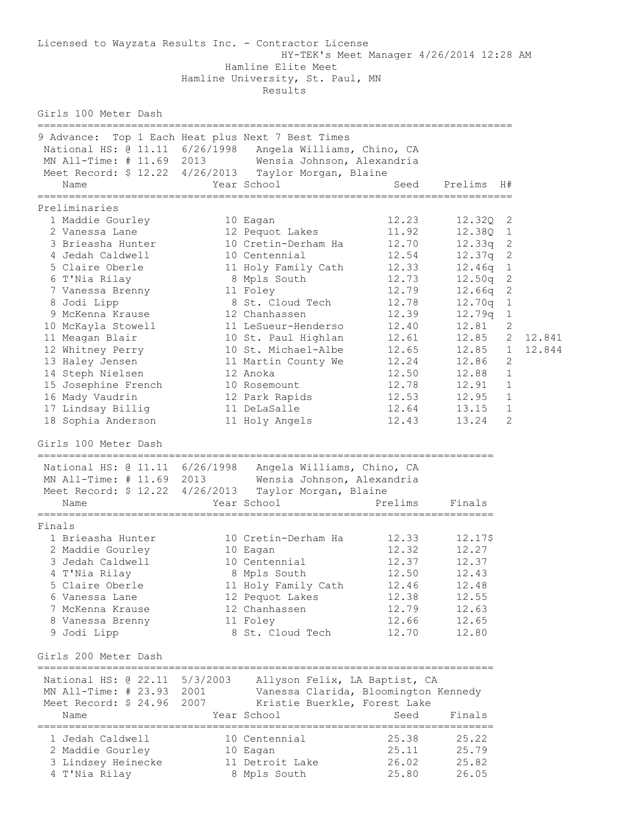Licensed to Wayzata Results Inc. - Contractor License HY-TEK's Meet Manager 4/26/2014 12:28 AM Hamline Elite Meet Hamline University, St. Paul, MN Results Girls 100 Meter Dash ============================================================================ 9 Advance: Top 1 Each Heat plus Next 7 Best Times National HS: @ 11.11 6/26/1998 Angela Williams, Chino, CA MN All-Time: # 11.69 2013 Wensia Johnson, Alexandria Meet Record: \$ 12.22 4/26/2013 Taylor Morgan, Blaine Name Year School Seed Prelims H# ============================================================================ Preliminaries 1 Maddie Gourley 10 Eagan 12.23 12.32Q 2 2 Vanessa Lane 12 Pequot Lakes 11.92 12.38Q 1 3 Brieasha Hunter 10 Cretin-Derham Ha 12.70 12.33q 2 4 Jedah Caldwell 10 Centennial 12.54 12.37q 2 5 Claire Oberle 11 Holy Family Cath 12.33 12.46q 1 6 T'Nia Rilay 8 Mpls South 12.73 12.50q 2 7 Vanessa Brenny 11 Foley 12.79 12.66q 2 8 Jodi Lipp 8 St. Cloud Tech 12.78 12.70q 1 9 McKenna Krause 12 Chanhassen 12.39 12.79q 1 10 McKayla Stowell 11 LeSueur-Henderso 12.40 12.81 2 11 Meagan Blair 10 St. Paul Highlan 12.61 12.85 2 12.841 12 Whitney Perry 10 St. Michael-Albe 12.65 12.85 1 12.844 13 Haley Jensen 11 Martin County We 12.24 12.86 2 14 Steph Nielsen 12 Anoka 12.50 12.88 1 15 Josephine French 10 Rosemount 12.78 12.91 1 16 Mady Vaudrin 12 Park Rapids 12.53 12.95 1 17 Lindsay Billig 11 DeLaSalle 12.64 13.15 1 18 Sophia Anderson 11 Holy Angels 12.43 13.24 2 Girls 100 Meter Dash ========================================================================= National HS: @ 11.11 6/26/1998 Angela Williams, Chino, CA MN All-Time: # 11.69 2013 Wensia Johnson, Alexandria Meet Record: \$ 12.22 4/26/2013 Taylor Morgan, Blaine Name The Year School Controller Prelims Finals ========================================================================= Finals 1 Brieasha Hunter 10 Cretin-Derham Ha 12.33 12.17\$ 2 Maddie Gourley 10 Eagan 12.32 12.27 3 Jedah Caldwell 10 Centennial 12.37 12.37 4 T'Nia Rilay 8 Mpls South 12.50 12.43 5 Claire Oberle 11 Holy Family Cath 12.46 12.48 6 Vanessa Lane 12 Pequot Lakes 12.38 12.55 7 McKenna Krause 12 Chanhassen 12.79 12.63 8 Vanessa Brenny 11 Foley 12.66 12.65 9 Jodi Lipp 8 St. Cloud Tech 12.70 12.80 Girls 200 Meter Dash ========================================================================= National HS: @ 22.11 5/3/2003 Allyson Felix, LA Baptist, CA MN All-Time: # 23.93 2001 Vanessa Clarida, Bloomington Kennedy Meet Record: \$ 24.96 2007 Kristie Buerkle, Forest Lake Name Year School Seed Finals ========================================================================= 1 Jedah Caldwell 10 Centennial 25.38 25.22 2 Maddie Gourley 10 Eagan 25.11 25.79 3 Lindsey Heinecke 11 Detroit Lake 26.02 25.82 4 T'Nia Rilay 8 Mpls South 25.80 26.05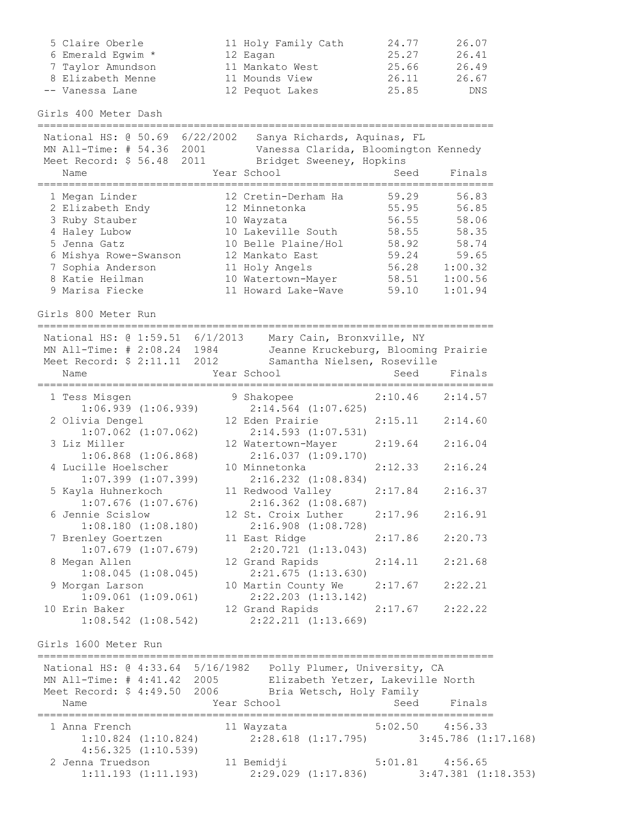| 5 Claire Oberle   | 11 Holy Family Cath | 24.77 | 26.07      |
|-------------------|---------------------|-------|------------|
| 6 Emerald Eqwim * | 12 Eagan            | 25.27 | 26.41      |
| 7 Taylor Amundson | 11 Mankato West     | 25.66 | 26.49      |
| 8 Elizabeth Menne | 11 Mounds View      | 26.11 | 26.67      |
| -- Vanessa Lane   | 12 Pequot Lakes     | 25.85 | <b>DNS</b> |

Girls 400 Meter Dash

=========================================================================

| 6/22/2002<br>National HS: @ 50.69<br>MN All-Time: # 54.36<br>2001<br>Meet Record: \$ 56.48<br>2011<br>Name | Sanya Richards, Aquinas, FL<br>Vanessa Clarida, Bloomington Kennedy<br>Bridget Sweeney, Hopkins<br>Year School | Seed  | Finals  |
|------------------------------------------------------------------------------------------------------------|----------------------------------------------------------------------------------------------------------------|-------|---------|
| 1 Megan Linder                                                                                             | 12 Cretin-Derham Ha                                                                                            | 59.29 | 56.83   |
| 2 Elizabeth Endy                                                                                           | 12 Minnetonka                                                                                                  | 55.95 | 56.85   |
| 3 Ruby Stauber                                                                                             | 10 Wayzata                                                                                                     | 56.55 | 58.06   |
| 4 Haley Lubow                                                                                              | 10 Lakeville South                                                                                             | 58.55 | 58.35   |
| 5 Jenna Gatz                                                                                               | 10 Belle Plaine/Hol                                                                                            | 58.92 | 58.74   |
| 6 Mishya Rowe-Swanson                                                                                      | 12 Mankato East                                                                                                | 59.24 | 59.65   |
| 7 Sophia Anderson                                                                                          | 11 Holy Angels                                                                                                 | 56.28 | 1:00.32 |
| 8 Katie Heilman                                                                                            | 10 Watertown-Mayer                                                                                             | 58.51 | 1:00.56 |
| 9 Marisa Fiecke                                                                                            | 11 Howard Lake-Wave                                                                                            | 59.10 | 1:01.94 |

Girls 800 Meter Run

========================================================================= National HS: @ 1:59.51 6/1/2013 Mary Cain, Bronxville, NY MN All-Time: # 2:08.24 1984 Jeanne Kruckeburg, Blooming Prairie Meet Record: \$ 2:11.11 2012 Samantha Nielsen, Roseville Name Seed Finals (Name Seed Finals ========================================================================= 1 Tess Misgen 9 Shakopee 2:10.46 2:14.57 1:06.939 (1:06.939) 2:14.564 (1:07.625)<br>2 Olivia Dengel 12 Eden Prairie 2 Olivia Dengel 12 Eden Prairie 2:15.11 2:14.60 1:07.062 (1:07.062) 2:14.593 (1:07.531) 3 Liz Miller 12 Watertown-Mayer 2:19.64 2:16.04 1:06.868 (1:06.868) 2:16.037 (1:09.170) 4 Lucille Hoelscher 10 Minnetonka 2:12.33 2:16.24 1:07.399 (1:07.399) 2:16.232 (1:08.834) 5 Kayla Huhnerkoch 11 Redwood Valley 2:17.84 2:16.37 1:07.676 (1:07.676) 2:16.362 (1:08.687) 6 Jennie Scislow 12 St. Croix Luther 2:17.96 2:16.91 1:08.180 (1:08.180) 2:16.908 (1:08.728) 7 Brenley Goertzen 11 East Ridge 2:17.86 2:20.73 1:07.679 (1:07.679) 2:20.721 (1:13.043) 8 Megan Allen 12 Grand Rapids 2:14.11 2:21.68 1:08.045 (1:08.045) 2:21.675 (1:13.630) 9 Morgan Larson 10 Martin County We 2:17.67 2:22.21 1:09.061 (1:09.061) 2:22.203 (1:13.142) 10 Erin Baker 12 Grand Rapids 2:17.67 2:22.22 1:08.542 (1:08.542) 2:22.211 (1:13.669) Girls 1600 Meter Run ========================================================================= National HS: @ 4:33.64 5/16/1982 Polly Plumer, University, CA MN All-Time: # 4:41.42 2005 Elizabeth Yetzer, Lakeville North<br>Meet Record: \$ 4:49.50 2006 Bria Wetsch, Holy Family Bria Wetsch, Holy Family Name The Year School Seed Finals =========================================================================

 1 Anna French 11 Wayzata 5:02.50 4:56.33 1:10.824 (1:10.824) 2:28.618 (1:17.795) 3:45.786 (1:17.168) 4:56.325 (1:10.539) 2 Jenna Truedson 11 Bemidji 5:01.81 4:56.65<br>1:11.193 (1:11.193) 2:29.029 (1:17.836) 3:47.381 (1 1:11.193 (1:11.193) 2:29.029 (1:17.836) 3:47.381 (1:18.353)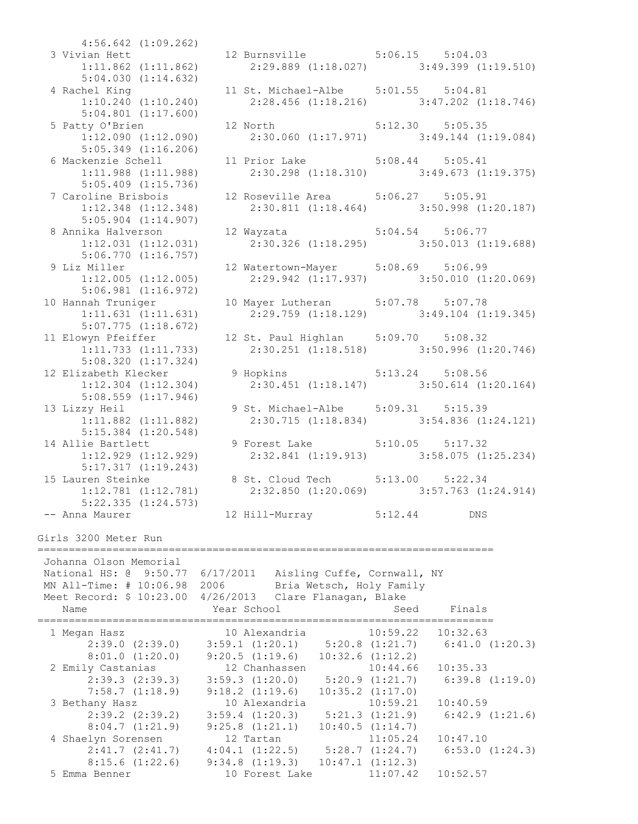4:56.642 (1:09.262) 3 Vivian Hett 12 Burnsville 5:06.15 5:04.03 1:11.862 (1:11.862) 2:29.889 (1:18.027) 3:49.399 (1:19.510) 5:04.030 (1:14.632) 4 Rachel King 11 St. Michael-Albe 5:01.55 5:04.81 1:10.240 (1:10.240) 2:28.456 (1:18.216) 3:47.202 (1:18.746) 5:04.801 (1:17.600) 5 Patty O'Brien 12 North 5:12.30 5:05.35 1:12.090 (1:12.090) 2:30.060 (1:17.971) 3:49.144 (1:19.084) 5:05.349 (1:16.206) 6 Mackenzie Schell 11 Prior Lake 5:08.44 5:05.41 1:11.988 (1:11.988) 2:30.298 (1:18.310) 3:49.673 (1:19.375) 5:05.409 (1:15.736) 7 Caroline Brisbois 12 Roseville Area 5:06.27 5:05.91 1:12.348 (1:12.348) 2:30.811 (1:18.464) 3:50.998 (1:20.187) 5:05.904 (1:14.907) 8 Annika Halverson 12 Wayzata 5:04.54 5:06.77 1:12.031 (1:12.031) 2:30.326 (1:18.295) 3:50.013 (1:19.688) 5:06.770 (1:16.757) 9 Liz Miller 12 Watertown-Mayer 5:08.69 5:06.99 2 MILLET<br>1:12.005 (1:12.005) 2:29.942 (1:17.937) 3:50.010 (1:20.069) 5:06.981 (1:16.972) 10 Hannah Truniger 10 Mayer Lutheran 5:07.78 5:07.78 1:11.631 (1:11.631) 2:29.759 (1:18.129) 3:49.104 (1:19.345) 5:07.775 (1:18.672) 11 Elowyn Pfeiffer 12 St. Paul Highlan 5:09.70 5:08.32 1:11.733 (1:11.733) 2:30.251 (1:18.518) 3:50.996 (1:20.746) 5:08.320 (1:17.324)<br>12 Elizabeth Klecker 12 Elizabeth Klecker 9 Hopkins 5:13.24 5:08.56 1:12.304 (1:12.304) 2:30.451 (1:18.147) 3:50.614 (1:20.164) 5:08.559 (1:17.946) 13 Lizzy Heil 9 St. Michael-Albe 5:09.31 5:15.39<br>1:11.882 (1:11.882) 2:30.715 (1:18.834) 3:54.836 (1 1:11.882 (1:11.882) 2:30.715 (1:18.834) 3:54.836 (1:24.121) 5:15.384 (1:20.548)<br>5:15.384 (1:20.548)<br>14 Allie Bartlett<br>1:12.929 (1:12.929) 14 Allie Bartlett 9 Forest Lake 5:10.05 5:17.32 1:12.929 (1:12.929) 2:32.841 (1:19.913) 3:58.075 (1:25.234) 5:17.317 (1:19.243) 15 Lauren Steinke 8 St. Cloud Tech 5:13.00 5:22.34 1:12.781 (1:12.781) 2:32.850 (1:20.069) 3:57.763 (1:24.914) 5:22.335 (1:24.573) -- Anna Maurer 12 Hill-Murray 5:12.44 DNS Girls 3200 Meter Run ========================================================================= Johanna Olson Memorial National HS: @ 9:50.77 6/17/2011 Aisling Cuffe, Cornwall, NY MN All-Time: # 10:06.98 2006 Bria Wetsch, Holy Family Meet Record: \$ 10:23.00 4/26/2013 Clare Flanagan, Blake Name The Year School Control Seed Finals ========================================================================= 1 Megan Hasz 10 Alexandria 10:59.22 10:32.63 2:39.0 (2:39.0) 3:59.1 (1:20.1) 5:20.8 (1:21.7) 6:41.0 (1:20.3) 8:01.0 (1:20.0) 9:20.5 (1:19.6) 10:32.6 (1:12.2) 2 Emily Castanias 12 Chanhassen 10:44.66 10:35.33 2:39.3 (2:39.3) 3:59.3 (1:20.0) 5:20.9 (1:21.7) 6:39.8 (1:19.0) 7:58.7 (1:18.9) 9:18.2 (1:19.6) 10:35.2 (1:17.0) 3 Bethany Hasz 10 Alexandria 10:59.21 10:40.59 2:39.2 (2:39.2) 3:59.4 (1:20.3) 5:21.3 (1:21.9) 6:42.9 (1:21.6) 8:04.7 (1:21.9) 9:25.8 (1:21.1) 10:40.5 (1:14.7) 4 Shaelyn Sorensen 12 Tartan 11:05.24 10:47.10 2:41.7 (2:41.7) 4:04.1 (1:22.5) 5:28.7 (1:24.7) 6:53.0 (1:24.3) 8:15.6 (1:22.6) 9:34.8 (1:19.3) 10:47.1 (1:12.3)

5 Emma Benner 10 Forest Lake 11:07.42 10:52.57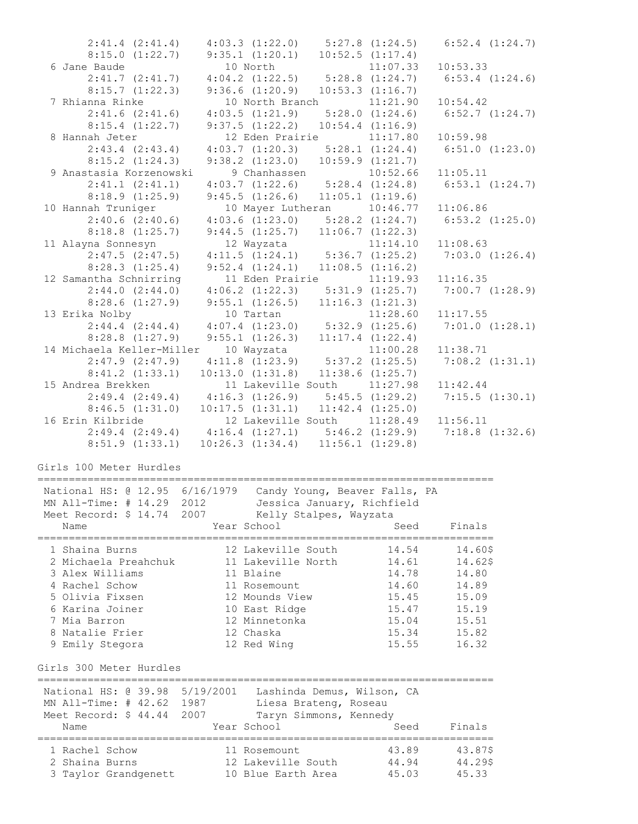|                                        | $2:41.4$ $(2:41.4)$ $4:03.3$ $(1:22.0)$                                                  | $5:27.8$ $(1:24.5)$  | $6:52.4$ $(1:24.7)$        |
|----------------------------------------|------------------------------------------------------------------------------------------|----------------------|----------------------------|
| 8:15.0(1:22.7)                         | 9:35.1(1:20.1)                                                                           | 10:52.5(1:17.4)      |                            |
| 6 Jane Baude                           | 10 North                                                                                 | 11:07.33             | 10:53.33                   |
| 2:41.7(2:41.7)                         | $4:04.2$ $(1:22.5)$ $5:28.8$ $(1:24.7)$                                                  |                      | $6:53.4$ $(1:24.6)$        |
| 8:15.7(1:22.3)                         | 9:36.6(1:20.9)                                                                           | 10:53.3(1:16.7)      |                            |
| 7 Rhianna Rinke<br>2:41.6(2:41.6)      | 10 North Branch 11:21.90                                                                 | 5:28.0(1:24.6)       | 10:54.42<br>6:52.7(1:24.7) |
| 8:15.4(1:22.7)                         | 4:03.5(1:21.9)<br>9:37.5(1:22.2)                                                         | 10:54.4(1:16.9)      |                            |
| 8 Hannah Jeter                         | 12 Eden Prairie                                                                          | 11:17.80             | 10:59.98                   |
| $2:43.4$ $(2:43.4)$                    | 4:03.7(1:20.3)                                                                           | 5:28.1(1:24.4)       | $6:51.0$ $(1:23.0)$        |
| 8:15.2(1:24.3)                         | 9:38.2(1:23.0)                                                                           | 10:59.9(1:21.7)      |                            |
| 9 Anastasia Korzenowski                | 9 Chanhassen                                                                             | 10:52.66             | 11:05.11                   |
| 2:41.1 (2:41.1)                        | 9 Chanhassen 10:52.66<br>4:03.7 (1:22.6) 5:28.4 (1:24.8)                                 |                      | 6:53.1(1:24.7)             |
| 8:18.9(1:25.9)                         | 9:45.5(1:26.6)                                                                           | $11:05.1$ $(1:19.6)$ |                            |
| 10 Hannah Truniger                     | 10 Mayer Lutheran 10:46.77                                                               |                      | 11:06.86                   |
| 2:40.6(2:40.6)                         | $4:03.6$ $(1:23.0)$ $5:28.2$ $(1:24.7)$                                                  |                      | $6:53.2$ $(1:25.0)$        |
| $8:18.8$ $(1:25.7)$                    | $9:44.5$ $(1:25.7)$ $11:06.7$ $(1:22.3)$                                                 |                      |                            |
| 11 Alayna Sonnesyn                     | 12 Wayzata                                                                               | 11:14.10             | 11:08.63                   |
| $2:47.5$ $(2:47.5)$                    | $4:11.5$ $(1:24.1)$ $5:36.7$ $(1:25.2)$                                                  |                      | 7:03.0(1:26.4)             |
| 8:28.3(1:25.4)                         | $9:52.4$ $(1:24.1)$ $11:08.5$ $(1:16.2)$                                                 |                      |                            |
| 12 Samantha Schnirring                 | 11 Eden Prairie                                                                          | 11:19.93             | 11:16.35                   |
| 2:44.0(2:44.0)                         | $4:06.2$ $(1:22.3)$ $5:31.9$ $(1:25.7)$                                                  |                      | 7:00.7(1:28.9)             |
| 8:28.6(1:27.9)                         | $9:55.1$ $(1:26.5)$ $11:16.3$ $(1:21.3)$                                                 |                      |                            |
| 13 Erika Nolby                         | 10 Tartan                                                                                | 11:28.60             | 11:17.55                   |
|                                        | $2:44.4$ $(2:44.4)$ $4:07.4$ $(1:23.0)$ $5:32.9$ $(1:25.6)$                              |                      | 7:01.0(1:28.1)             |
| $8:28.8$ $(1:27.9)$                    | 9:55.1(1:26.3)                                                                           | 11:17.4(1:22.4)      |                            |
|                                        | 14 Michaela Keller-Miller 10 Wayzata                                                     | 11:00.28             | 11:38.71                   |
| $2:47.9$ $(2:47.9)$                    | $4:11.8$ $(1:23.9)$ $5:37.2$ $(1:25.5)$                                                  |                      | 7:08.2(1:31.1)             |
| 8:41.2(1:33.1)                         | 10:13.0(1:31.8)                                                                          | $11:38.6$ $(1:25.7)$ |                            |
| 15 Andrea Brekken                      | 11 Lakeville South 11:27.98                                                              |                      | 11:42.44                   |
| 2:49.4(2:49.4)                         | $4:16.3$ $(1:26.9)$ $5:45.5$ $(1:29.2)$                                                  |                      | 7:15.5(1:30.1)             |
| 8:46.5(1:31.0)                         | $10:17.5$ $(1:31.1)$ $11:42.4$ $(1:25.0)$                                                |                      |                            |
|                                        |                                                                                          |                      |                            |
| 16 Erin Kilbride                       | 12 Lakeville South 11:28.49                                                              |                      | 11:56.11                   |
|                                        | $2:49.4$ $(2:49.4)$ $4:16.4$ $(1:27.1)$ $5:46.2$ $(1:29.9)$ $7:18.8$ $(1:32.6)$          |                      |                            |
| 8:51.9(1:33.1)                         | $10:26.3$ $(1:34.4)$ $11:56.1$ $(1:29.8)$                                                |                      |                            |
|                                        |                                                                                          |                      |                            |
| Girls 100 Meter Hurdles                |                                                                                          |                      |                            |
|                                        |                                                                                          |                      |                            |
|                                        | National HS: @ 12.95 6/16/1979 Candy Young, Beaver Falls, PA                             |                      |                            |
| Meet Record: \$ 14.74                  | MN All-Time: # 14.29 2012   Jessica January, Richfield<br>2007<br>Kelly Stalpes, Wayzata |                      |                            |
| Name                                   | Year School                                                                              | Seed                 | Finals                     |
| ----------------                       | ------------------                                                                       |                      | ==================         |
| 1 Shaina Burns                         | 12 Lakeville South                                                                       | 14.54                | 14.60\$                    |
| 2 Michaela Preahchuk                   | 11 Lakeville North                                                                       | 14.61                | 14.62\$                    |
| 3 Alex Williams                        | 11 Blaine                                                                                | 14.78                | 14.80                      |
| 4 Rachel Schow                         | 11 Rosemount                                                                             | 14.60                | 14.89                      |
| 5 Olivia Fixsen                        | 12 Mounds View                                                                           | 15.45                | 15.09                      |
| 6 Karina Joiner                        | 10 East Ridge                                                                            | 15.47                | 15.19                      |
| 7 Mia Barron                           | 12 Minnetonka                                                                            | 15.04                | 15.51                      |
| 8 Natalie Frier                        | 12 Chaska                                                                                | 15.34                | 15.82                      |
| 9 Emily Stegora                        | 12 Red Wing                                                                              | 15.55                | 16.32                      |
| Girls 300 Meter Hurdles                |                                                                                          |                      |                            |
| National HS: 0 39.98 5/19/2001         | Lashinda Demus, Wilson, CA                                                               |                      |                            |
| MN All-Time: # 42.62 1987              | Liesa Brateng, Roseau                                                                    |                      |                            |
| Meet Record: \$ 44.44 2007             | Taryn Simmons, Kennedy                                                                   |                      |                            |
| Name                                   | Year School                                                                              | Seed                 | Finals                     |
|                                        |                                                                                          |                      |                            |
| 1 Rachel Schow                         | 11 Rosemount                                                                             | 43.89                | 43.87\$                    |
| 2 Shaina Burns<br>3 Taylor Grandgenett | 12 Lakeville South<br>10 Blue Earth Area                                                 | 44.94<br>45.03       | 44.29\$<br>45.33           |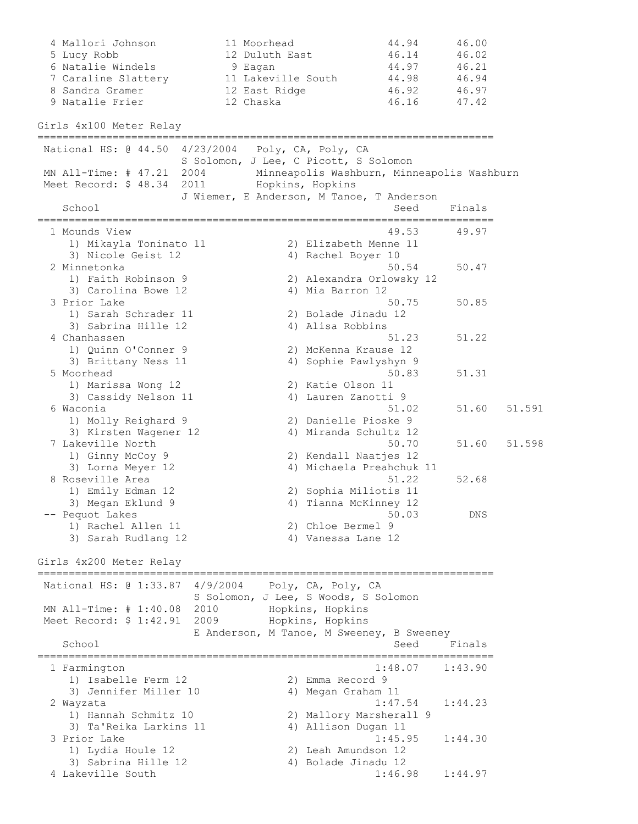4 Mallori Johnson 11 Moorhead 44.94 46.00 5 Lucy Robb 12 Duluth East 46.14 46.02 6 Natalie Windels 9 Eagan 144.97 46.21 7 Caraline Slattery 11 Lakeville South 44.98 46.94 8 Sandra Gramer 12 East Ridge 16.92 46.97 9 Natalie Frier 12 Chaska 12 46.16 47.42 Girls 4x100 Meter Relay ========================================================================= National HS: @ 44.50 4/23/2004 Poly, CA, Poly, CA S Solomon, J Lee, C Picott, S Solomon MN All-Time: # 47.21 2004 Minneapolis Washburn, Minneapolis Washburn Meet Record: \$ 48.34 2011 Hopkins, Hopkins J Wiemer, E Anderson, M Tanoe, T Anderson School School Seed Finals ========================================================================= 1 Mounds View 49.53 49.97 1) Mikayla Toninato 11 2) Elizabeth Menne 11 3) Nicole Geist 12 (4) Rachel Boyer 10 2 Minnetonka 50.54 50.47 1) Faith Robinson 9 2) Alexandra Orlowsky 12 3) Carolina Bowe 12 4) Mia Barron 12 3 Prior Lake 50.75 50.85 1) Sarah Schrader 11 2) Bolade Jinadu 12 3) Sabrina Hille 12 (4) Alisa Robbins 4 Chanhassen 51.23 51.22 1) Quinn O'Conner 9 2) McKenna Krause 12 3) Brittany Ness 11 4) Sophie Pawlyshyn 9 5 Moorhead 50.83 51.31 1) Marissa Wong 12 2) Katie Olson 11 3) Cassidy Nelson 11 4) Lauren Zanotti 9 6 Waconia 51.02 51.60 51.591 1) Molly Reighard 9 2) Danielle Pioske 9 3) Kirsten Wagener 12 4) Miranda Schultz 12 7 Lakeville North 50.70 51.60 51.598 1) Ginny McCoy 9 2) Kendall Naatjes 12 3) Lorna Meyer 12 4) Michaela Preahchuk 11 8 Roseville Area 51.22 52.68 1) Emily Edman 12 2) Sophia Miliotis 11 3) Megan Eklund 9 4) Tianna McKinney 12 -- Pequot Lakes 50.03 DNS 1) Rachel Allen 11 2) Chloe Bermel 9 3) Sarah Rudlang 12 4) Vanessa Lane 12 Girls 4x200 Meter Relay ========================================================================= National HS: @ 1:33.87 4/9/2004 Poly, CA, Poly, CA S Solomon, J Lee, S Woods, S Solomon MN All-Time: # 1:40.08 2010 Hopkins, Hopkins Meet Record: \$ 1:42.91 2009 Hopkins, Hopkins E Anderson, M Tanoe, M Sweeney, B Sweeney School School Seed Finals ========================================================================= 1 Farmington 1:48.07 1:43.90 1) Isabelle Ferm 12 2) Emma Record 9 3) Jennifer Miller 10  $\hskip1cm$  4) Megan Graham 11 2 Wayzata 1:47.54 1:44.23 1) Hannah Schmitz 10 2) Mallory Marsherall 9 3) Ta'Reika Larkins 11 4) Allison Dugan 11 3 Prior Lake 1:45.95 1:44.30 1) Lydia Houle 12 2) Leah Amundson 12 3) Sabrina Hille 12 (4) Bolade Jinadu 12 4 Lakeville South 1:46.98 1:44.97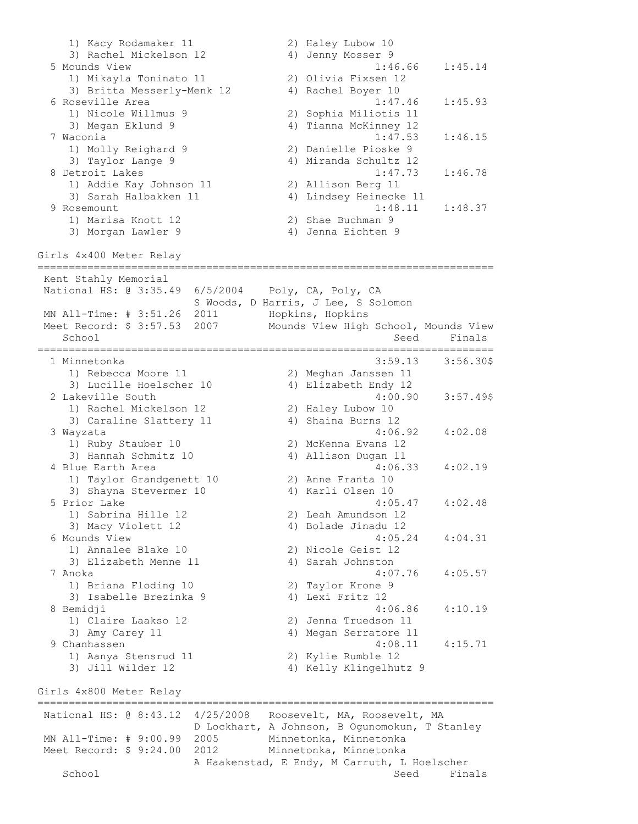1) Kacy Rodamaker 11 2) Haley Lubow 10 3) Rachel Mickelson 12 (4) Jenny Mosser 9 5 Mounds View 1:46.66 1:45.14 1) Mikayla Toninato 11 2) Olivia Fixsen 12 3) Britta Messerly-Menk 12 4) Rachel Boyer 10 6 Roseville Area 1:47.46 1:45.93 1) Nicole Willmus 9 2) Sophia Miliotis 11 3) Megan Eklund 9 4) Tianna McKinney 12 7 Waconia 1:47.53 1:46.15 1) Molly Reighard 9 2) Danielle Pioske 9 3) Taylor Lange 9 4) Miranda Schultz 12 8 Detroit Lakes 1:47.73 1:46.78 1) Addie Kay Johnson 11 2) Allison Berg 11 3) Sarah Halbakken 11 4) Lindsey Heinecke 11 9 Rosemount 1:48.11 1:48.37 1) Marisa Knott 12 2) Shae Buchman 9 3) Morgan Lawler 9 4) Jenna Eichten 9 Girls 4x400 Meter Relay ========================================================================= Kent Stahly Memorial National HS: @ 3:35.49 6/5/2004 Poly, CA, Poly, CA S Woods, D Harris, J Lee, S Solomon MN All-Time: # 3:51.26 2011 Hopkins, Hopkins Meet Record: \$ 3:57.53 2007 Mounds View High School, Mounds View School School Seed Finals ========================================================================= 1 Minnetonka 3:59.13 3:56.30\$ 1) Rebecca Moore 11 2) Meghan Janssen 11 3) Lucille Hoelscher 10 4) Elizabeth Endy 12 2 Lakeville South 4:00.90 3:57.49\$ 1) Rachel Mickelson 12 2) Haley Lubow 10 3) Caraline Slattery 11 (4) Shaina Burns 12 3 Wayzata 4:06.92 4:02.08 1) Ruby Stauber 10 2) McKenna Evans 12 3) Hannah Schmitz 10  $\hskip1cm$  4) Allison Dugan 11 4 Blue Earth Area 4:06.33 4:02.19 1) Taylor Grandgenett 10 2) Anne Franta 10 3) Shayna Stevermer 10 (4) Karli Olsen 10 5 Prior Lake 4:05.47 4:02.48 1) Sabrina Hille 12 2) Leah Amundson 12 3) Macy Violett 12 4) Bolade Jinadu 12 6 Mounds View 4:05.24 4:04.31 1) Annalee Blake 10 2) Nicole Geist 12 3) Elizabeth Menne 11 (4) Sarah Johnston 7 Anoka 4:07.76 4:05.57 1) Briana Floding 10 2) Taylor Krone 9 3) Isabelle Brezinka 9 4) Lexi Fritz 12 8 Bemidji 4:06.86 4:10.19 1) Claire Laakso 12 2) Jenna Truedson 11 3) Amy Carey 11 4) Megan Serratore 11 9 Chanhassen 4:08.11 4:15.71 1) Aanya Stensrud 11 2) Kylie Rumble 12 3) Jill Wilder 12 4) Kelly Klingelhutz 9 Girls 4x800 Meter Relay ========================================================================= National HS: @ 8:43.12 4/25/2008 Roosevelt, MA, Roosevelt, MA D Lockhart, A Johnson, B Ogunomokun, T Stanley MN All-Time: # 9:00.99 2005 Minnetonka, Minnetonka Meet Record: \$ 9:24.00 2012 Minnetonka, Minnetonka A Haakenstad, E Endy, M Carruth, L Hoelscher<br>Seed Fina Seed Finals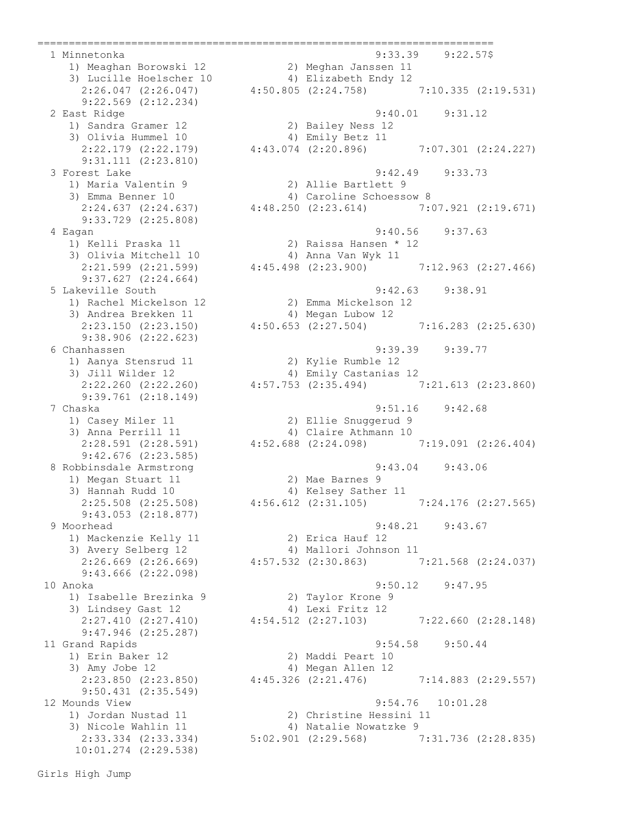9:22.569 (2:12.234) 1) Sandra Gramer 12 2) Bailey Ness 12 3) Olivia Hummel 10 4) Emily Betz 11 9:31.111 (2:23.810) 9:33.729 (2:25.808) 3) Olivia Mitchell 10 4) Anna Van Wyk 11 9:37.627 (2:24.664) 3) Andrea Brekken 11 4) Megan Lubow 12 9:38.906 (2:22.623) 1) Aanya Stensrud 11 2) Kylie Rumble 12 9:39.761 (2:18.149) 9:42.676 (2:23.585)<br>8 Robbinsdale Armstrong 1) Megan Stuart 11 2) Mae Barnes 9 9:43.053 (2:18.877) 1) Mackenzie Kelly 11 2) Erica Hauf 12 9:43.666 (2:22.098) 1) Isabelle Brezinka 9 2) Taylor Krone 9 3) Lindsey Gast 12 4) Lexi Fritz 12 9:47.946 (2:25.287) 1) Erin Baker 12 2) Maddi Peart 10 3) Amy Jobe 12 (4) Megan Allen 12 9:50.431 (2:35.549) 2:33.334 (2:33.334) 5:02.901 (2:29.568) 7:31.736 (2:28.835) 10:01.274 (2:29.538)

 1 Minnetonka 9:33.39 9:22.57\$ 1) Meaghan Borowski 12 2) Meghan Janssen 11 3) Lucille Hoelscher 10 4) Elizabeth Endy 12 2:26.047 (2:26.047) 4:50.805 (2:24.758) 7:10.335 (2:19.531) 2 East Ridge 9:40.01 9:31.12 2:22.179 (2:22.179) 4:43.074 (2:20.896) 7:07.301 (2:24.227) 3 Forest Lake 9:42.49 9:33.73 1) Maria Valentin 9 2) Allie Bartlett 9 3) Emma Benner 10 4) Caroline Schoessow 8 2:24.637 (2:24.637) 4:48.250 (2:23.614) 7:07.921 (2:19.671) 4 Eagan 9:40.56 9:37.63 1) Kelli Praska 11 2) Raissa Hansen \* 12 2:21.599 (2:21.599) 4:45.498 (2:23.900) 7:12.963 (2:27.466) 5 Lakeville South 9:42.63 9:38.91 1) Rachel Mickelson 12 2) Emma Mickelson 12 2:23.150 (2:23.150) 4:50.653 (2:27.504) 7:16.283 (2:25.630) 6 Chanhassen 9:39.39 9:39.77 3) Jill Wilder 12 4) Emily Castanias 12 2:22.260 (2:22.260) 4:57.753 (2:35.494) 7:21.613 (2:23.860) 7 Chaska 9:51.16 9:42.68 1) Casey Miler 11 2) Ellie Snuggerud 9 3) Anna Perrill 11 4) Claire Athmann 10 2:28.591 (2:28.591) 4:52.688 (2:24.098) 7:19.091 (2:26.404) 8 Robbinsdale Armstrong 9:43.04 9:43.06 3) Hannah Rudd 10 4) Kelsey Sather 11 2:25.508 (2:25.508) 4:56.612 (2:31.105) 7:24.176 (2:27.565) 9 Moorhead 9:48.21 9:43.67 3) Avery Selberg 12 4) Mallori Johnson 11 2:26.669 (2:26.669) 4:57.532 (2:30.863) 7:21.568 (2:24.037) 10 Anoka 9:50.12 9:47.95 2:27.410 (2:27.410) 4:54.512 (2:27.103) 7:22.660 (2:28.148) 11 Grand Rapids 9:54.58 9:50.44 2:23.850 (2:23.850) 4:45.326 (2:21.476) 7:14.883 (2:29.557) 12 Mounds View 9:54.76 10:01.28 1) Jordan Nustad 11 2) Christine Hessini 11 3) Nicole Wahlin 11 4) Natalie Nowatzke 9

=========================================================================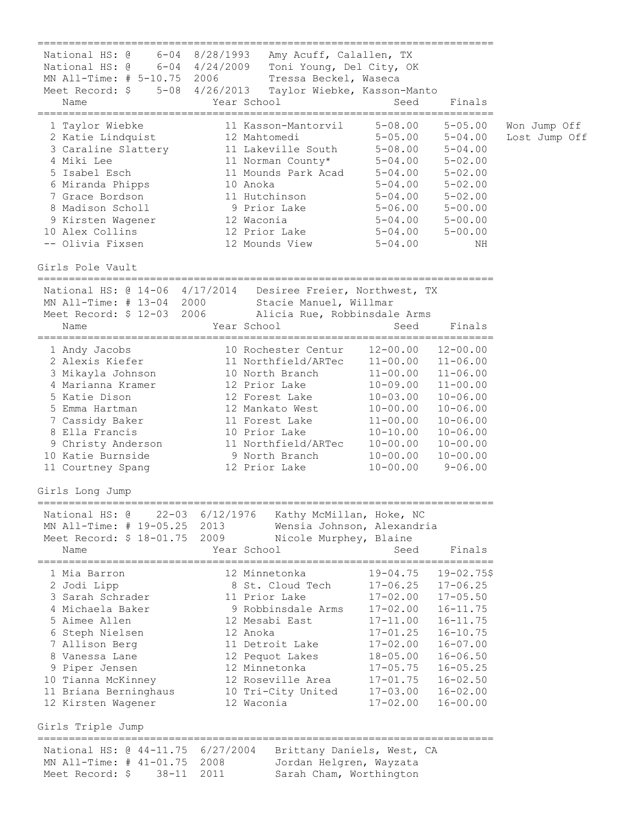========================================================================= National HS: @ 6-04 8/28/1993 Amy Acuff, Calallen, TX National HS: @ 6-04 4/24/2009 Toni Young, Del City, OK MN All-Time: # 5-10.75 2006 Tressa Beckel, Waseca Meet Record: \$ 5-08 4/26/2013 Taylor Wiebke, Kasson-Manto Name The Year School Contract Seed Finals ========================================================================= 1 Taylor Wiebke 11 Kasson-Mantorvil 5-08.00 5-05.00 Won Jump Off 2 Katie Lindquist 12 Mahtomedi 5-05.00 5-04.00 Lost Jump Off 3 Caraline Slattery 11 Lakeville South 5-08.00 5-04.00 4 Miki Lee 11 Norman County\* 5-04.00 5-02.00 5 Isabel Esch 11 Mounds Park Acad 5-04.00 5-02.00 6 Miranda Phipps 10 Anoka 5-04.00 5-02.00 7 Grace Bordson 11 Hutchinson 5-04.00 5-02.00 8 Madison Scholl 9 Prior Lake 5-06.00 5-00.00 9 Kirsten Wagener 12 Waconia 5-04.00 5-00.00 10 Alex Collins 12 Prior Lake 5-04.00 5-00.00 -- Olivia Fixsen 12 Mounds View 5-04.00 NH Girls Pole Vault ========================================================================= National HS: @ 14-06 4/17/2014 Desiree Freier, Northwest, TX MN All-Time: # 13-04 2000 Stacie Manuel, Willmar Meet Record: \$ 12-03 2006 Alicia Rue, Robbinsdale Arms Name Seed Finals ========================================================================= 1 Andy Jacobs 10 Rochester Centur 12-00.00 12-00.00 2 Alexis Kiefer 11 Northfield/ARTec 11-00.00 11-06.00 3 Mikayla Johnson 10 North Branch 11-00.00 11-06.00 4 Marianna Kramer 12 Prior Lake 10-09.00 11-00.00 5 Katie Dison 12 Forest Lake 10-03.00 10-06.00 5 Emma Hartman 12 Mankato West 10-00.00 10-06.00 7 Cassidy Baker 11 Forest Lake 11-00.00 10-06.00 8 Ella Francis 10 Prior Lake 10-10.00 10-06.00 9 Christy Anderson 11 Northfield/ARTec 10-00.00 10-00.00 10 Katie Burnside 9 North Branch 10-00.00 10-00.00 11 Courtney Spang 12 Prior Lake 10-00.00 9-06.00 Girls Long Jump ========================================================================= National HS: @ 22-03 6/12/1976 Kathy McMillan, Hoke, NC MN All-Time: # 19-05.25 2013 Wensia Johnson, Alexandria Meet Record: \$ 18-01.75 2009 Nicole Murphey, Blaine Name Year School Seed Finals ========================================================================= 1 Mia Barron 12 Minnetonka 19-04.75 19-02.75\$ 2 Jodi Lipp 8 St. Cloud Tech 17-06.25 17-06.25 3 Sarah Schrader 11 Prior Lake 17-02.00 17-05.50 4 Michaela Baker 9 Robbinsdale Arms 17-02.00 16-11.75 5 Aimee Allen 12 Mesabi East 17-11.00 16-11.75 6 Steph Nielsen 12 Anoka 17-01.25 16-10.75 7 Allison Berg 11 Detroit Lake 17-02.00 16-07.00 8 Vanessa Lane 12 Pequot Lakes 18-05.00 16-06.50 9 Piper Jensen 12 Minnetonka 17-05.75 16-05.25 10 Tianna McKinney 12 Roseville Area 17-01.75 16-02.50 11 Briana Berninghaus 10 Tri-City United 17-03.00 16-02.00 12 Kirsten Wagener 12 Waconia 17-02.00 16-00.00 Girls Triple Jump ========================================================================= National HS: @ 44-11.75 6/27/2004 Brittany Daniels, West, CA MN All-Time: # 41-01.75 2008 Jordan Helgren, Wayzata Meet Record: \$ 38-11 2011 Sarah Cham, Worthington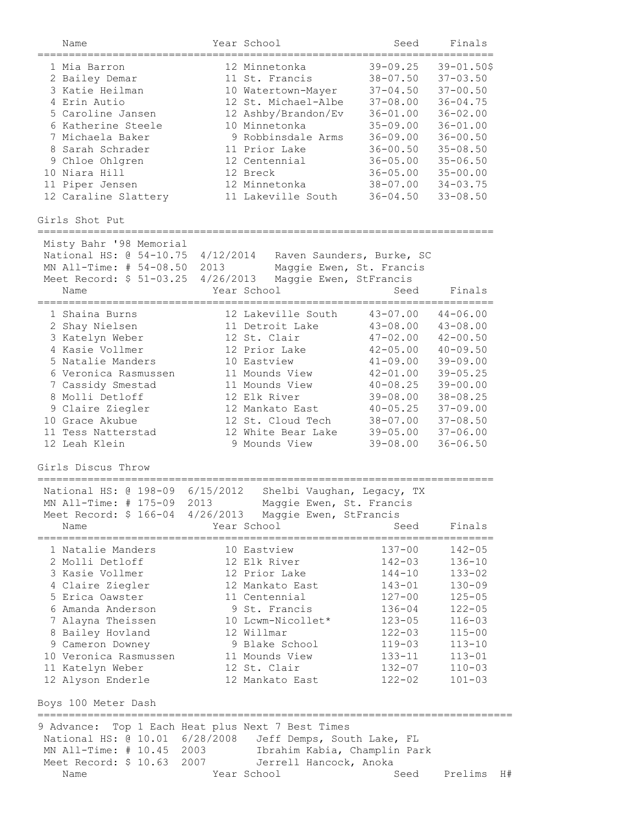| $39 - 09.25$<br>$39 - 01.50$ \$<br>12 Minnetonka<br>1 Mia Barron<br>$38 - 07.50$<br>11 St. Francis<br>$37 - 03.50$<br>2 Bailey Demar<br>$37 - 04.50$<br>3 Katie Heilman<br>$37 - 00.50$<br>10 Watertown-Mayer<br>4 Erin Autio<br>$37 - 08.00$<br>12 St. Michael-Albe<br>$36 - 04.75$<br>5 Caroline Jansen<br>12 Ashby/Brandon/Ev<br>$36 - 02.00$<br>$36 - 01.00$<br>6 Katherine Steele<br>10 Minnetonka<br>$35 - 09.00$<br>$36 - 01.00$<br>9 Robbinsdale Arms<br>7 Michaela Baker<br>$36 - 09.00$<br>$36 - 00.50$<br>8 Sarah Schrader<br>11 Prior Lake<br>$36 - 00.50$<br>$35 - 08.50$<br>9 Chloe Ohlgren<br>$36 - 05.00$<br>12 Centennial<br>$35 - 06.50$<br>$36 - 05.00$<br>10 Niara Hill<br>12 Breck<br>$35 - 00.00$<br>$38 - 07.00$<br>11 Piper Jensen<br>12 Minnetonka<br>$34 - 03.75$<br>11 Lakeville South<br>$36 - 04.50$<br>12 Caraline Slattery<br>$33 - 08.50$<br>Girls Shot Put<br>===================<br>Misty Bahr '98 Memorial<br>National HS: @ 54-10.75<br>4/12/2014<br>Raven Saunders, Burke, SC<br>MN All-Time: # 54-08.50<br>2013<br>Maggie Ewen, St. Francis<br>Meet Record: \$ 51-03.25<br>4/26/2013<br>Maggie Ewen, StFrancis<br>Year School<br>Seed<br>Finals<br>Name<br>12 Lakeville South<br>$43 - 07.00$<br>1 Shaina Burns<br>$44 - 06.00$<br>11 Detroit Lake<br>$43 - 08.00$<br>2 Shay Nielsen<br>$43 - 08.00$<br>12 St. Clair<br>$47 - 02.00$<br>3 Katelyn Weber<br>$42 - 00.50$<br>4 Kasie Vollmer<br>12 Prior Lake<br>$42 - 05.00$<br>$40 - 09.50$<br>5 Natalie Manders<br>$41 - 09.00$<br>10 Eastview<br>$39 - 09.00$<br>6 Veronica Rasmussen<br>11 Mounds View<br>$42 - 01.00$<br>$39 - 05.25$<br>$40 - 08.25$<br>7 Cassidy Smestad<br>11 Mounds View<br>$39 - 00.00$<br>$39 - 08.00$<br>8 Molli Detloff<br>12 Elk River<br>$38 - 08.25$<br>$40 - 05.25$<br>9 Claire Ziegler<br>12 Mankato East<br>$37 - 09.00$<br>10 Grace Akubue<br>12 St. Cloud Tech<br>$38 - 07.00$<br>$37 - 08.50$<br>11 Tess Natterstad<br>12 White Bear Lake<br>$39 - 05.00$<br>$37 - 06.00$<br>12 Leah Klein<br>9 Mounds View<br>$39 - 08.00$<br>$36 - 06.50$<br>Girls Discus Throw<br>=================<br>National HS: @ 198-09<br>6/15/2012<br>Shelbi Vaughan, Legacy, TX<br>MN All-Time: # 175-09 2013<br>Maggie Ewen, St. Francis<br>Meet Record: \$ 166-04 4/26/2013 Maggie Ewen, StFrancis<br>Year School<br>Finals<br>Name<br>Seed<br>10 Eastview<br>137-00<br>$142 - 05$<br>1 Natalie Manders<br>2 Molli Detloff<br>12 Elk River<br>$142 - 03$<br>$136 - 10$<br>3 Kasie Vollmer<br>12 Prior Lake<br>144-10<br>$133 - 02$<br>4 Claire Ziegler<br>12 Mankato East<br>$143 - 01$<br>$130 - 09$<br>5 Erica Oawster<br>11 Centennial<br>$127 - 00$<br>$125 - 05$<br>6 Amanda Anderson<br>9 St. Francis<br>$122 - 05$<br>136-04<br>7 Alayna Theissen<br>10 Lcwm-Nicollet*<br>$123 - 05$<br>$116 - 03$<br>12 Willmar<br>8 Bailey Hovland<br>$122 - 03$<br>$115 - 00$<br>9 Cameron Downey<br>9 Blake School<br>119-03<br>$113 - 10$<br>10 Veronica Rasmussen<br>11 Mounds View<br>133-11<br>$113 - 01$<br>12 St. Clair<br>132-07<br>11 Katelyn Weber<br>$110 - 03$<br>12 Alyson Enderle<br>12 Mankato East<br>$122 - 02$<br>$101 - 03$<br>Boys 100 Meter Dash<br>Top 1 Each Heat plus Next 7 Best Times<br>9 Advance:<br>National HS: @ 10.01 6/28/2008<br>Jeff Demps, South Lake, FL<br>MN All-Time: # 10.45 2003<br>Ibrahim Kabia, Champlin Park<br>Meet Record: \$ 10.63 2007<br>Jerrell Hancock, Anoka<br>Year School<br>Seed<br>Prelims<br>Name | Name | Year School | Seed | Finals |    |
|----------------------------------------------------------------------------------------------------------------------------------------------------------------------------------------------------------------------------------------------------------------------------------------------------------------------------------------------------------------------------------------------------------------------------------------------------------------------------------------------------------------------------------------------------------------------------------------------------------------------------------------------------------------------------------------------------------------------------------------------------------------------------------------------------------------------------------------------------------------------------------------------------------------------------------------------------------------------------------------------------------------------------------------------------------------------------------------------------------------------------------------------------------------------------------------------------------------------------------------------------------------------------------------------------------------------------------------------------------------------------------------------------------------------------------------------------------------------------------------------------------------------------------------------------------------------------------------------------------------------------------------------------------------------------------------------------------------------------------------------------------------------------------------------------------------------------------------------------------------------------------------------------------------------------------------------------------------------------------------------------------------------------------------------------------------------------------------------------------------------------------------------------------------------------------------------------------------------------------------------------------------------------------------------------------------------------------------------------------------------------------------------------------------------------------------------------------------------------------------------------------------------------------------------------------------------------------------------------------------------------------------------------------------------------------------------------------------------------------------------------------------------------------------------------------------------------------------------------------------------------------------------------------------------------------------------------------------------------------------------------------------------------------------------------------------------------------------------------------------------------------------------------------------------------------------------------------------------------------------------------------------------------------------------------------------------------------------------------------------------------------------------------------------------------------------------------------------|------|-------------|------|--------|----|
|                                                                                                                                                                                                                                                                                                                                                                                                                                                                                                                                                                                                                                                                                                                                                                                                                                                                                                                                                                                                                                                                                                                                                                                                                                                                                                                                                                                                                                                                                                                                                                                                                                                                                                                                                                                                                                                                                                                                                                                                                                                                                                                                                                                                                                                                                                                                                                                                                                                                                                                                                                                                                                                                                                                                                                                                                                                                                                                                                                                                                                                                                                                                                                                                                                                                                                                                                                                                                                                                |      |             |      |        |    |
|                                                                                                                                                                                                                                                                                                                                                                                                                                                                                                                                                                                                                                                                                                                                                                                                                                                                                                                                                                                                                                                                                                                                                                                                                                                                                                                                                                                                                                                                                                                                                                                                                                                                                                                                                                                                                                                                                                                                                                                                                                                                                                                                                                                                                                                                                                                                                                                                                                                                                                                                                                                                                                                                                                                                                                                                                                                                                                                                                                                                                                                                                                                                                                                                                                                                                                                                                                                                                                                                |      |             |      |        |    |
|                                                                                                                                                                                                                                                                                                                                                                                                                                                                                                                                                                                                                                                                                                                                                                                                                                                                                                                                                                                                                                                                                                                                                                                                                                                                                                                                                                                                                                                                                                                                                                                                                                                                                                                                                                                                                                                                                                                                                                                                                                                                                                                                                                                                                                                                                                                                                                                                                                                                                                                                                                                                                                                                                                                                                                                                                                                                                                                                                                                                                                                                                                                                                                                                                                                                                                                                                                                                                                                                |      |             |      |        |    |
|                                                                                                                                                                                                                                                                                                                                                                                                                                                                                                                                                                                                                                                                                                                                                                                                                                                                                                                                                                                                                                                                                                                                                                                                                                                                                                                                                                                                                                                                                                                                                                                                                                                                                                                                                                                                                                                                                                                                                                                                                                                                                                                                                                                                                                                                                                                                                                                                                                                                                                                                                                                                                                                                                                                                                                                                                                                                                                                                                                                                                                                                                                                                                                                                                                                                                                                                                                                                                                                                |      |             |      |        |    |
|                                                                                                                                                                                                                                                                                                                                                                                                                                                                                                                                                                                                                                                                                                                                                                                                                                                                                                                                                                                                                                                                                                                                                                                                                                                                                                                                                                                                                                                                                                                                                                                                                                                                                                                                                                                                                                                                                                                                                                                                                                                                                                                                                                                                                                                                                                                                                                                                                                                                                                                                                                                                                                                                                                                                                                                                                                                                                                                                                                                                                                                                                                                                                                                                                                                                                                                                                                                                                                                                |      |             |      |        |    |
|                                                                                                                                                                                                                                                                                                                                                                                                                                                                                                                                                                                                                                                                                                                                                                                                                                                                                                                                                                                                                                                                                                                                                                                                                                                                                                                                                                                                                                                                                                                                                                                                                                                                                                                                                                                                                                                                                                                                                                                                                                                                                                                                                                                                                                                                                                                                                                                                                                                                                                                                                                                                                                                                                                                                                                                                                                                                                                                                                                                                                                                                                                                                                                                                                                                                                                                                                                                                                                                                |      |             |      |        |    |
|                                                                                                                                                                                                                                                                                                                                                                                                                                                                                                                                                                                                                                                                                                                                                                                                                                                                                                                                                                                                                                                                                                                                                                                                                                                                                                                                                                                                                                                                                                                                                                                                                                                                                                                                                                                                                                                                                                                                                                                                                                                                                                                                                                                                                                                                                                                                                                                                                                                                                                                                                                                                                                                                                                                                                                                                                                                                                                                                                                                                                                                                                                                                                                                                                                                                                                                                                                                                                                                                |      |             |      |        |    |
|                                                                                                                                                                                                                                                                                                                                                                                                                                                                                                                                                                                                                                                                                                                                                                                                                                                                                                                                                                                                                                                                                                                                                                                                                                                                                                                                                                                                                                                                                                                                                                                                                                                                                                                                                                                                                                                                                                                                                                                                                                                                                                                                                                                                                                                                                                                                                                                                                                                                                                                                                                                                                                                                                                                                                                                                                                                                                                                                                                                                                                                                                                                                                                                                                                                                                                                                                                                                                                                                |      |             |      |        |    |
|                                                                                                                                                                                                                                                                                                                                                                                                                                                                                                                                                                                                                                                                                                                                                                                                                                                                                                                                                                                                                                                                                                                                                                                                                                                                                                                                                                                                                                                                                                                                                                                                                                                                                                                                                                                                                                                                                                                                                                                                                                                                                                                                                                                                                                                                                                                                                                                                                                                                                                                                                                                                                                                                                                                                                                                                                                                                                                                                                                                                                                                                                                                                                                                                                                                                                                                                                                                                                                                                |      |             |      |        |    |
|                                                                                                                                                                                                                                                                                                                                                                                                                                                                                                                                                                                                                                                                                                                                                                                                                                                                                                                                                                                                                                                                                                                                                                                                                                                                                                                                                                                                                                                                                                                                                                                                                                                                                                                                                                                                                                                                                                                                                                                                                                                                                                                                                                                                                                                                                                                                                                                                                                                                                                                                                                                                                                                                                                                                                                                                                                                                                                                                                                                                                                                                                                                                                                                                                                                                                                                                                                                                                                                                |      |             |      |        |    |
|                                                                                                                                                                                                                                                                                                                                                                                                                                                                                                                                                                                                                                                                                                                                                                                                                                                                                                                                                                                                                                                                                                                                                                                                                                                                                                                                                                                                                                                                                                                                                                                                                                                                                                                                                                                                                                                                                                                                                                                                                                                                                                                                                                                                                                                                                                                                                                                                                                                                                                                                                                                                                                                                                                                                                                                                                                                                                                                                                                                                                                                                                                                                                                                                                                                                                                                                                                                                                                                                |      |             |      |        |    |
|                                                                                                                                                                                                                                                                                                                                                                                                                                                                                                                                                                                                                                                                                                                                                                                                                                                                                                                                                                                                                                                                                                                                                                                                                                                                                                                                                                                                                                                                                                                                                                                                                                                                                                                                                                                                                                                                                                                                                                                                                                                                                                                                                                                                                                                                                                                                                                                                                                                                                                                                                                                                                                                                                                                                                                                                                                                                                                                                                                                                                                                                                                                                                                                                                                                                                                                                                                                                                                                                |      |             |      |        |    |
|                                                                                                                                                                                                                                                                                                                                                                                                                                                                                                                                                                                                                                                                                                                                                                                                                                                                                                                                                                                                                                                                                                                                                                                                                                                                                                                                                                                                                                                                                                                                                                                                                                                                                                                                                                                                                                                                                                                                                                                                                                                                                                                                                                                                                                                                                                                                                                                                                                                                                                                                                                                                                                                                                                                                                                                                                                                                                                                                                                                                                                                                                                                                                                                                                                                                                                                                                                                                                                                                |      |             |      |        |    |
|                                                                                                                                                                                                                                                                                                                                                                                                                                                                                                                                                                                                                                                                                                                                                                                                                                                                                                                                                                                                                                                                                                                                                                                                                                                                                                                                                                                                                                                                                                                                                                                                                                                                                                                                                                                                                                                                                                                                                                                                                                                                                                                                                                                                                                                                                                                                                                                                                                                                                                                                                                                                                                                                                                                                                                                                                                                                                                                                                                                                                                                                                                                                                                                                                                                                                                                                                                                                                                                                |      |             |      |        |    |
|                                                                                                                                                                                                                                                                                                                                                                                                                                                                                                                                                                                                                                                                                                                                                                                                                                                                                                                                                                                                                                                                                                                                                                                                                                                                                                                                                                                                                                                                                                                                                                                                                                                                                                                                                                                                                                                                                                                                                                                                                                                                                                                                                                                                                                                                                                                                                                                                                                                                                                                                                                                                                                                                                                                                                                                                                                                                                                                                                                                                                                                                                                                                                                                                                                                                                                                                                                                                                                                                |      |             |      |        |    |
|                                                                                                                                                                                                                                                                                                                                                                                                                                                                                                                                                                                                                                                                                                                                                                                                                                                                                                                                                                                                                                                                                                                                                                                                                                                                                                                                                                                                                                                                                                                                                                                                                                                                                                                                                                                                                                                                                                                                                                                                                                                                                                                                                                                                                                                                                                                                                                                                                                                                                                                                                                                                                                                                                                                                                                                                                                                                                                                                                                                                                                                                                                                                                                                                                                                                                                                                                                                                                                                                |      |             |      |        |    |
|                                                                                                                                                                                                                                                                                                                                                                                                                                                                                                                                                                                                                                                                                                                                                                                                                                                                                                                                                                                                                                                                                                                                                                                                                                                                                                                                                                                                                                                                                                                                                                                                                                                                                                                                                                                                                                                                                                                                                                                                                                                                                                                                                                                                                                                                                                                                                                                                                                                                                                                                                                                                                                                                                                                                                                                                                                                                                                                                                                                                                                                                                                                                                                                                                                                                                                                                                                                                                                                                |      |             |      |        |    |
|                                                                                                                                                                                                                                                                                                                                                                                                                                                                                                                                                                                                                                                                                                                                                                                                                                                                                                                                                                                                                                                                                                                                                                                                                                                                                                                                                                                                                                                                                                                                                                                                                                                                                                                                                                                                                                                                                                                                                                                                                                                                                                                                                                                                                                                                                                                                                                                                                                                                                                                                                                                                                                                                                                                                                                                                                                                                                                                                                                                                                                                                                                                                                                                                                                                                                                                                                                                                                                                                |      |             |      |        |    |
|                                                                                                                                                                                                                                                                                                                                                                                                                                                                                                                                                                                                                                                                                                                                                                                                                                                                                                                                                                                                                                                                                                                                                                                                                                                                                                                                                                                                                                                                                                                                                                                                                                                                                                                                                                                                                                                                                                                                                                                                                                                                                                                                                                                                                                                                                                                                                                                                                                                                                                                                                                                                                                                                                                                                                                                                                                                                                                                                                                                                                                                                                                                                                                                                                                                                                                                                                                                                                                                                |      |             |      |        |    |
|                                                                                                                                                                                                                                                                                                                                                                                                                                                                                                                                                                                                                                                                                                                                                                                                                                                                                                                                                                                                                                                                                                                                                                                                                                                                                                                                                                                                                                                                                                                                                                                                                                                                                                                                                                                                                                                                                                                                                                                                                                                                                                                                                                                                                                                                                                                                                                                                                                                                                                                                                                                                                                                                                                                                                                                                                                                                                                                                                                                                                                                                                                                                                                                                                                                                                                                                                                                                                                                                |      |             |      |        |    |
|                                                                                                                                                                                                                                                                                                                                                                                                                                                                                                                                                                                                                                                                                                                                                                                                                                                                                                                                                                                                                                                                                                                                                                                                                                                                                                                                                                                                                                                                                                                                                                                                                                                                                                                                                                                                                                                                                                                                                                                                                                                                                                                                                                                                                                                                                                                                                                                                                                                                                                                                                                                                                                                                                                                                                                                                                                                                                                                                                                                                                                                                                                                                                                                                                                                                                                                                                                                                                                                                |      |             |      |        |    |
|                                                                                                                                                                                                                                                                                                                                                                                                                                                                                                                                                                                                                                                                                                                                                                                                                                                                                                                                                                                                                                                                                                                                                                                                                                                                                                                                                                                                                                                                                                                                                                                                                                                                                                                                                                                                                                                                                                                                                                                                                                                                                                                                                                                                                                                                                                                                                                                                                                                                                                                                                                                                                                                                                                                                                                                                                                                                                                                                                                                                                                                                                                                                                                                                                                                                                                                                                                                                                                                                |      |             |      |        |    |
|                                                                                                                                                                                                                                                                                                                                                                                                                                                                                                                                                                                                                                                                                                                                                                                                                                                                                                                                                                                                                                                                                                                                                                                                                                                                                                                                                                                                                                                                                                                                                                                                                                                                                                                                                                                                                                                                                                                                                                                                                                                                                                                                                                                                                                                                                                                                                                                                                                                                                                                                                                                                                                                                                                                                                                                                                                                                                                                                                                                                                                                                                                                                                                                                                                                                                                                                                                                                                                                                |      |             |      |        |    |
|                                                                                                                                                                                                                                                                                                                                                                                                                                                                                                                                                                                                                                                                                                                                                                                                                                                                                                                                                                                                                                                                                                                                                                                                                                                                                                                                                                                                                                                                                                                                                                                                                                                                                                                                                                                                                                                                                                                                                                                                                                                                                                                                                                                                                                                                                                                                                                                                                                                                                                                                                                                                                                                                                                                                                                                                                                                                                                                                                                                                                                                                                                                                                                                                                                                                                                                                                                                                                                                                |      |             |      |        |    |
|                                                                                                                                                                                                                                                                                                                                                                                                                                                                                                                                                                                                                                                                                                                                                                                                                                                                                                                                                                                                                                                                                                                                                                                                                                                                                                                                                                                                                                                                                                                                                                                                                                                                                                                                                                                                                                                                                                                                                                                                                                                                                                                                                                                                                                                                                                                                                                                                                                                                                                                                                                                                                                                                                                                                                                                                                                                                                                                                                                                                                                                                                                                                                                                                                                                                                                                                                                                                                                                                |      |             |      |        |    |
|                                                                                                                                                                                                                                                                                                                                                                                                                                                                                                                                                                                                                                                                                                                                                                                                                                                                                                                                                                                                                                                                                                                                                                                                                                                                                                                                                                                                                                                                                                                                                                                                                                                                                                                                                                                                                                                                                                                                                                                                                                                                                                                                                                                                                                                                                                                                                                                                                                                                                                                                                                                                                                                                                                                                                                                                                                                                                                                                                                                                                                                                                                                                                                                                                                                                                                                                                                                                                                                                |      |             |      |        |    |
|                                                                                                                                                                                                                                                                                                                                                                                                                                                                                                                                                                                                                                                                                                                                                                                                                                                                                                                                                                                                                                                                                                                                                                                                                                                                                                                                                                                                                                                                                                                                                                                                                                                                                                                                                                                                                                                                                                                                                                                                                                                                                                                                                                                                                                                                                                                                                                                                                                                                                                                                                                                                                                                                                                                                                                                                                                                                                                                                                                                                                                                                                                                                                                                                                                                                                                                                                                                                                                                                |      |             |      |        |    |
|                                                                                                                                                                                                                                                                                                                                                                                                                                                                                                                                                                                                                                                                                                                                                                                                                                                                                                                                                                                                                                                                                                                                                                                                                                                                                                                                                                                                                                                                                                                                                                                                                                                                                                                                                                                                                                                                                                                                                                                                                                                                                                                                                                                                                                                                                                                                                                                                                                                                                                                                                                                                                                                                                                                                                                                                                                                                                                                                                                                                                                                                                                                                                                                                                                                                                                                                                                                                                                                                |      |             |      |        |    |
|                                                                                                                                                                                                                                                                                                                                                                                                                                                                                                                                                                                                                                                                                                                                                                                                                                                                                                                                                                                                                                                                                                                                                                                                                                                                                                                                                                                                                                                                                                                                                                                                                                                                                                                                                                                                                                                                                                                                                                                                                                                                                                                                                                                                                                                                                                                                                                                                                                                                                                                                                                                                                                                                                                                                                                                                                                                                                                                                                                                                                                                                                                                                                                                                                                                                                                                                                                                                                                                                |      |             |      |        |    |
|                                                                                                                                                                                                                                                                                                                                                                                                                                                                                                                                                                                                                                                                                                                                                                                                                                                                                                                                                                                                                                                                                                                                                                                                                                                                                                                                                                                                                                                                                                                                                                                                                                                                                                                                                                                                                                                                                                                                                                                                                                                                                                                                                                                                                                                                                                                                                                                                                                                                                                                                                                                                                                                                                                                                                                                                                                                                                                                                                                                                                                                                                                                                                                                                                                                                                                                                                                                                                                                                |      |             |      |        |    |
|                                                                                                                                                                                                                                                                                                                                                                                                                                                                                                                                                                                                                                                                                                                                                                                                                                                                                                                                                                                                                                                                                                                                                                                                                                                                                                                                                                                                                                                                                                                                                                                                                                                                                                                                                                                                                                                                                                                                                                                                                                                                                                                                                                                                                                                                                                                                                                                                                                                                                                                                                                                                                                                                                                                                                                                                                                                                                                                                                                                                                                                                                                                                                                                                                                                                                                                                                                                                                                                                |      |             |      |        |    |
|                                                                                                                                                                                                                                                                                                                                                                                                                                                                                                                                                                                                                                                                                                                                                                                                                                                                                                                                                                                                                                                                                                                                                                                                                                                                                                                                                                                                                                                                                                                                                                                                                                                                                                                                                                                                                                                                                                                                                                                                                                                                                                                                                                                                                                                                                                                                                                                                                                                                                                                                                                                                                                                                                                                                                                                                                                                                                                                                                                                                                                                                                                                                                                                                                                                                                                                                                                                                                                                                |      |             |      |        |    |
|                                                                                                                                                                                                                                                                                                                                                                                                                                                                                                                                                                                                                                                                                                                                                                                                                                                                                                                                                                                                                                                                                                                                                                                                                                                                                                                                                                                                                                                                                                                                                                                                                                                                                                                                                                                                                                                                                                                                                                                                                                                                                                                                                                                                                                                                                                                                                                                                                                                                                                                                                                                                                                                                                                                                                                                                                                                                                                                                                                                                                                                                                                                                                                                                                                                                                                                                                                                                                                                                |      |             |      |        |    |
|                                                                                                                                                                                                                                                                                                                                                                                                                                                                                                                                                                                                                                                                                                                                                                                                                                                                                                                                                                                                                                                                                                                                                                                                                                                                                                                                                                                                                                                                                                                                                                                                                                                                                                                                                                                                                                                                                                                                                                                                                                                                                                                                                                                                                                                                                                                                                                                                                                                                                                                                                                                                                                                                                                                                                                                                                                                                                                                                                                                                                                                                                                                                                                                                                                                                                                                                                                                                                                                                |      |             |      |        |    |
|                                                                                                                                                                                                                                                                                                                                                                                                                                                                                                                                                                                                                                                                                                                                                                                                                                                                                                                                                                                                                                                                                                                                                                                                                                                                                                                                                                                                                                                                                                                                                                                                                                                                                                                                                                                                                                                                                                                                                                                                                                                                                                                                                                                                                                                                                                                                                                                                                                                                                                                                                                                                                                                                                                                                                                                                                                                                                                                                                                                                                                                                                                                                                                                                                                                                                                                                                                                                                                                                |      |             |      |        |    |
|                                                                                                                                                                                                                                                                                                                                                                                                                                                                                                                                                                                                                                                                                                                                                                                                                                                                                                                                                                                                                                                                                                                                                                                                                                                                                                                                                                                                                                                                                                                                                                                                                                                                                                                                                                                                                                                                                                                                                                                                                                                                                                                                                                                                                                                                                                                                                                                                                                                                                                                                                                                                                                                                                                                                                                                                                                                                                                                                                                                                                                                                                                                                                                                                                                                                                                                                                                                                                                                                |      |             |      |        |    |
|                                                                                                                                                                                                                                                                                                                                                                                                                                                                                                                                                                                                                                                                                                                                                                                                                                                                                                                                                                                                                                                                                                                                                                                                                                                                                                                                                                                                                                                                                                                                                                                                                                                                                                                                                                                                                                                                                                                                                                                                                                                                                                                                                                                                                                                                                                                                                                                                                                                                                                                                                                                                                                                                                                                                                                                                                                                                                                                                                                                                                                                                                                                                                                                                                                                                                                                                                                                                                                                                |      |             |      |        |    |
|                                                                                                                                                                                                                                                                                                                                                                                                                                                                                                                                                                                                                                                                                                                                                                                                                                                                                                                                                                                                                                                                                                                                                                                                                                                                                                                                                                                                                                                                                                                                                                                                                                                                                                                                                                                                                                                                                                                                                                                                                                                                                                                                                                                                                                                                                                                                                                                                                                                                                                                                                                                                                                                                                                                                                                                                                                                                                                                                                                                                                                                                                                                                                                                                                                                                                                                                                                                                                                                                |      |             |      |        |    |
|                                                                                                                                                                                                                                                                                                                                                                                                                                                                                                                                                                                                                                                                                                                                                                                                                                                                                                                                                                                                                                                                                                                                                                                                                                                                                                                                                                                                                                                                                                                                                                                                                                                                                                                                                                                                                                                                                                                                                                                                                                                                                                                                                                                                                                                                                                                                                                                                                                                                                                                                                                                                                                                                                                                                                                                                                                                                                                                                                                                                                                                                                                                                                                                                                                                                                                                                                                                                                                                                |      |             |      |        |    |
|                                                                                                                                                                                                                                                                                                                                                                                                                                                                                                                                                                                                                                                                                                                                                                                                                                                                                                                                                                                                                                                                                                                                                                                                                                                                                                                                                                                                                                                                                                                                                                                                                                                                                                                                                                                                                                                                                                                                                                                                                                                                                                                                                                                                                                                                                                                                                                                                                                                                                                                                                                                                                                                                                                                                                                                                                                                                                                                                                                                                                                                                                                                                                                                                                                                                                                                                                                                                                                                                |      |             |      |        |    |
|                                                                                                                                                                                                                                                                                                                                                                                                                                                                                                                                                                                                                                                                                                                                                                                                                                                                                                                                                                                                                                                                                                                                                                                                                                                                                                                                                                                                                                                                                                                                                                                                                                                                                                                                                                                                                                                                                                                                                                                                                                                                                                                                                                                                                                                                                                                                                                                                                                                                                                                                                                                                                                                                                                                                                                                                                                                                                                                                                                                                                                                                                                                                                                                                                                                                                                                                                                                                                                                                |      |             |      |        |    |
|                                                                                                                                                                                                                                                                                                                                                                                                                                                                                                                                                                                                                                                                                                                                                                                                                                                                                                                                                                                                                                                                                                                                                                                                                                                                                                                                                                                                                                                                                                                                                                                                                                                                                                                                                                                                                                                                                                                                                                                                                                                                                                                                                                                                                                                                                                                                                                                                                                                                                                                                                                                                                                                                                                                                                                                                                                                                                                                                                                                                                                                                                                                                                                                                                                                                                                                                                                                                                                                                |      |             |      |        |    |
|                                                                                                                                                                                                                                                                                                                                                                                                                                                                                                                                                                                                                                                                                                                                                                                                                                                                                                                                                                                                                                                                                                                                                                                                                                                                                                                                                                                                                                                                                                                                                                                                                                                                                                                                                                                                                                                                                                                                                                                                                                                                                                                                                                                                                                                                                                                                                                                                                                                                                                                                                                                                                                                                                                                                                                                                                                                                                                                                                                                                                                                                                                                                                                                                                                                                                                                                                                                                                                                                |      |             |      |        |    |
|                                                                                                                                                                                                                                                                                                                                                                                                                                                                                                                                                                                                                                                                                                                                                                                                                                                                                                                                                                                                                                                                                                                                                                                                                                                                                                                                                                                                                                                                                                                                                                                                                                                                                                                                                                                                                                                                                                                                                                                                                                                                                                                                                                                                                                                                                                                                                                                                                                                                                                                                                                                                                                                                                                                                                                                                                                                                                                                                                                                                                                                                                                                                                                                                                                                                                                                                                                                                                                                                |      |             |      |        |    |
|                                                                                                                                                                                                                                                                                                                                                                                                                                                                                                                                                                                                                                                                                                                                                                                                                                                                                                                                                                                                                                                                                                                                                                                                                                                                                                                                                                                                                                                                                                                                                                                                                                                                                                                                                                                                                                                                                                                                                                                                                                                                                                                                                                                                                                                                                                                                                                                                                                                                                                                                                                                                                                                                                                                                                                                                                                                                                                                                                                                                                                                                                                                                                                                                                                                                                                                                                                                                                                                                |      |             |      |        |    |
|                                                                                                                                                                                                                                                                                                                                                                                                                                                                                                                                                                                                                                                                                                                                                                                                                                                                                                                                                                                                                                                                                                                                                                                                                                                                                                                                                                                                                                                                                                                                                                                                                                                                                                                                                                                                                                                                                                                                                                                                                                                                                                                                                                                                                                                                                                                                                                                                                                                                                                                                                                                                                                                                                                                                                                                                                                                                                                                                                                                                                                                                                                                                                                                                                                                                                                                                                                                                                                                                |      |             |      |        |    |
|                                                                                                                                                                                                                                                                                                                                                                                                                                                                                                                                                                                                                                                                                                                                                                                                                                                                                                                                                                                                                                                                                                                                                                                                                                                                                                                                                                                                                                                                                                                                                                                                                                                                                                                                                                                                                                                                                                                                                                                                                                                                                                                                                                                                                                                                                                                                                                                                                                                                                                                                                                                                                                                                                                                                                                                                                                                                                                                                                                                                                                                                                                                                                                                                                                                                                                                                                                                                                                                                |      |             |      |        |    |
|                                                                                                                                                                                                                                                                                                                                                                                                                                                                                                                                                                                                                                                                                                                                                                                                                                                                                                                                                                                                                                                                                                                                                                                                                                                                                                                                                                                                                                                                                                                                                                                                                                                                                                                                                                                                                                                                                                                                                                                                                                                                                                                                                                                                                                                                                                                                                                                                                                                                                                                                                                                                                                                                                                                                                                                                                                                                                                                                                                                                                                                                                                                                                                                                                                                                                                                                                                                                                                                                |      |             |      |        |    |
|                                                                                                                                                                                                                                                                                                                                                                                                                                                                                                                                                                                                                                                                                                                                                                                                                                                                                                                                                                                                                                                                                                                                                                                                                                                                                                                                                                                                                                                                                                                                                                                                                                                                                                                                                                                                                                                                                                                                                                                                                                                                                                                                                                                                                                                                                                                                                                                                                                                                                                                                                                                                                                                                                                                                                                                                                                                                                                                                                                                                                                                                                                                                                                                                                                                                                                                                                                                                                                                                |      |             |      |        |    |
|                                                                                                                                                                                                                                                                                                                                                                                                                                                                                                                                                                                                                                                                                                                                                                                                                                                                                                                                                                                                                                                                                                                                                                                                                                                                                                                                                                                                                                                                                                                                                                                                                                                                                                                                                                                                                                                                                                                                                                                                                                                                                                                                                                                                                                                                                                                                                                                                                                                                                                                                                                                                                                                                                                                                                                                                                                                                                                                                                                                                                                                                                                                                                                                                                                                                                                                                                                                                                                                                |      |             |      |        |    |
|                                                                                                                                                                                                                                                                                                                                                                                                                                                                                                                                                                                                                                                                                                                                                                                                                                                                                                                                                                                                                                                                                                                                                                                                                                                                                                                                                                                                                                                                                                                                                                                                                                                                                                                                                                                                                                                                                                                                                                                                                                                                                                                                                                                                                                                                                                                                                                                                                                                                                                                                                                                                                                                                                                                                                                                                                                                                                                                                                                                                                                                                                                                                                                                                                                                                                                                                                                                                                                                                |      |             |      |        |    |
|                                                                                                                                                                                                                                                                                                                                                                                                                                                                                                                                                                                                                                                                                                                                                                                                                                                                                                                                                                                                                                                                                                                                                                                                                                                                                                                                                                                                                                                                                                                                                                                                                                                                                                                                                                                                                                                                                                                                                                                                                                                                                                                                                                                                                                                                                                                                                                                                                                                                                                                                                                                                                                                                                                                                                                                                                                                                                                                                                                                                                                                                                                                                                                                                                                                                                                                                                                                                                                                                |      |             |      |        |    |
|                                                                                                                                                                                                                                                                                                                                                                                                                                                                                                                                                                                                                                                                                                                                                                                                                                                                                                                                                                                                                                                                                                                                                                                                                                                                                                                                                                                                                                                                                                                                                                                                                                                                                                                                                                                                                                                                                                                                                                                                                                                                                                                                                                                                                                                                                                                                                                                                                                                                                                                                                                                                                                                                                                                                                                                                                                                                                                                                                                                                                                                                                                                                                                                                                                                                                                                                                                                                                                                                |      |             |      |        |    |
|                                                                                                                                                                                                                                                                                                                                                                                                                                                                                                                                                                                                                                                                                                                                                                                                                                                                                                                                                                                                                                                                                                                                                                                                                                                                                                                                                                                                                                                                                                                                                                                                                                                                                                                                                                                                                                                                                                                                                                                                                                                                                                                                                                                                                                                                                                                                                                                                                                                                                                                                                                                                                                                                                                                                                                                                                                                                                                                                                                                                                                                                                                                                                                                                                                                                                                                                                                                                                                                                |      |             |      |        |    |
|                                                                                                                                                                                                                                                                                                                                                                                                                                                                                                                                                                                                                                                                                                                                                                                                                                                                                                                                                                                                                                                                                                                                                                                                                                                                                                                                                                                                                                                                                                                                                                                                                                                                                                                                                                                                                                                                                                                                                                                                                                                                                                                                                                                                                                                                                                                                                                                                                                                                                                                                                                                                                                                                                                                                                                                                                                                                                                                                                                                                                                                                                                                                                                                                                                                                                                                                                                                                                                                                |      |             |      |        | H# |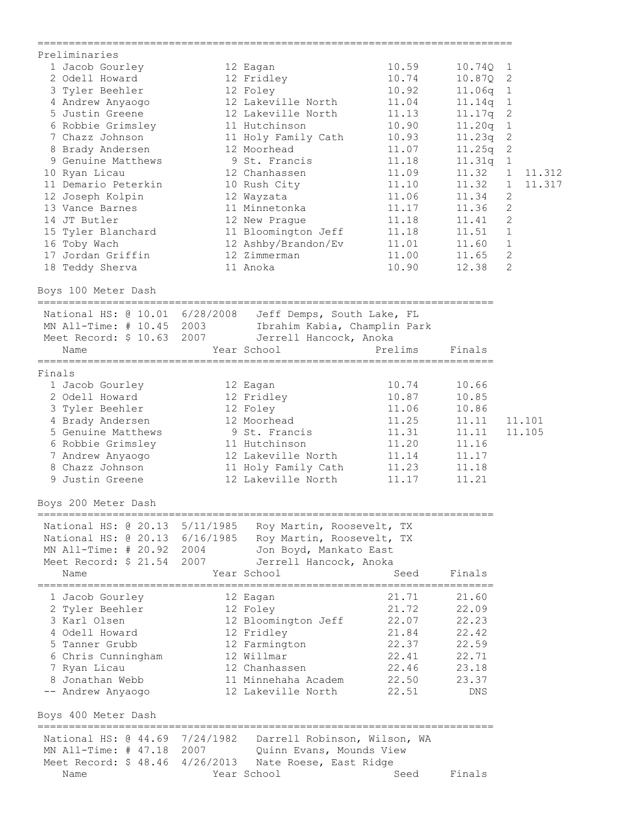| ==================                                                                                                |                                           | ============================= |                |                        |
|-------------------------------------------------------------------------------------------------------------------|-------------------------------------------|-------------------------------|----------------|------------------------|
| Preliminaries                                                                                                     |                                           |                               |                |                        |
| 1 Jacob Gourley                                                                                                   | 12 Eagan                                  | 10.59                         | 10.74Q 1       |                        |
| 2 Odell Howard                                                                                                    | 12 Fridley                                | 10.74                         | 10.87Q 2       |                        |
| 3 Tyler Beehler                                                                                                   | 12 Foley                                  | 10.92                         | 11.06q 1       |                        |
| 4 Andrew Anyaogo                                                                                                  | 12 Lakeville North                        | 11.04                         | 11.14q         | $\mathbf{1}$           |
| 5 Justin Greene                                                                                                   | 12 Lakeville North                        | 11.13                         | 11.17q         | $\sqrt{2}$             |
| 6 Robbie Grimsley                                                                                                 | 11 Hutchinson                             | 10.90                         | 11.20q         | $1\,$                  |
| 7 Chazz Johnson                                                                                                   | 11 Holy Family Cath                       | 10.93                         | 11.23q 2       |                        |
| 8 Brady Andersen                                                                                                  | 12 Moorhead                               | 11.07                         | $11.25q$ 2     |                        |
| 9 Genuine Matthews                                                                                                | 9 St. Francis                             | 11.18                         | 11.31q 1       |                        |
| 10 Ryan Licau                                                                                                     | 12 Chanhassen                             | 11.09                         | 11.32          | 1<br>11.312            |
| 11 Demario Peterkin 10 Rush City                                                                                  |                                           | 11.10                         | 11.32          | $\mathbf{1}$<br>11.317 |
| 12 Joseph Kolpin                                                                                                  | 12 Wayzata                                | 11.06                         | 11.34          | 2                      |
| 13 Vance Barnes                                                                                                   | 11 Minnetonka                             | 11.17                         | 11.36          | $\mathbf{2}$           |
| 14 JT Butler                                                                                                      | 12 New Prague                             | 11.18                         | 11.41          | $\overline{c}$         |
| 15 Tyler Blanchard                                                                                                | 11 Bloomington Jeff                       | 11.18                         | 11.51          | $1\,$                  |
| 16 Toby Wach                                                                                                      | 12 Ashby/Brandon/Ev                       | 11.01                         | 11.60          | $\mathbf{1}$           |
| 17 Jordan Griffin                                                                                                 | 12 Zimmerman                              | 11.00                         | 11.65          | $\overline{c}$         |
| 18 Teddy Sherva                                                                                                   | 11 Anoka                                  | 10.90                         | 12.38          | $\overline{2}$         |
| Boys 100 Meter Dash                                                                                               |                                           |                               |                |                        |
| National HS: @ 10.01 6/28/2008 Jeff Demps, South Lake, FL                                                         |                                           |                               |                |                        |
| MN All-Time: # 10.45 2003 Ibrahim Kabia, Champlin Park                                                            |                                           |                               |                |                        |
| Meet Record: \$ 10.63 2007                                                                                        | Jerrell Hancock, Anoka                    |                               |                |                        |
| Name                                                                                                              | Year School                               | Prelims                       | Finals         |                        |
| Finals                                                                                                            |                                           |                               |                |                        |
| 1 Jacob Gourley                                                                                                   | 12 Eagan                                  | 10.74                         | 10.66          |                        |
| 2 Odell Howard                                                                                                    | 12 Fridley                                | 10.87                         | 10.85          |                        |
| 3 Tyler Beehler                                                                                                   | 12 Foley                                  | 11.06                         | 10.86          |                        |
| 4 Brady Andersen                                                                                                  | 12 Moorhead                               | 11.25                         | 11.11          | 11.101                 |
| 5 Genuine Matthews                                                                                                | 9 St. Francis                             | 11.31                         | 11.11          | 11.105                 |
| 6 Robbie Grimsley                                                                                                 | 11 Hutchinson                             | 11.20                         | 11.16          |                        |
| 7 Andrew Anyaogo                                                                                                  | 12 Lakeville North                        | 11.14                         | 11.17          |                        |
| 8 Chazz Johnson                                                                                                   | 11 Holy Family Cath                       | 11.23                         | 11.18          |                        |
| 9 Justin Greene                                                                                                   | 12 Lakeville North                        | 11.17                         | 11.21          |                        |
| Boys 200 Meter Dash                                                                                               |                                           |                               |                |                        |
| National HS: @ 20.13 5/11/1985 Roy Martin, Roosevelt, TX                                                          |                                           |                               |                |                        |
| National HS: @ 20.13 6/16/1985 Roy Martin, Roosevelt, TX                                                          |                                           |                               |                |                        |
| MN All-Time: # 20.92 2004                                                                                         | Jon Boyd, Mankato East                    |                               |                |                        |
| Meet Record: \$ 21.54 2007                                                                                        | Jerrell Hancock, Anoka                    |                               |                |                        |
| Name                                                                                                              | Year School                               | Seed                          | Finals         |                        |
| 1 Jacob Gourley                                                                                                   |                                           | 21.71                         | 21.60          |                        |
| 2 Tyler Beehler                                                                                                   | 12 Eagan                                  | 21.72                         | 22.09          |                        |
| 3 Karl Olsen                                                                                                      | 12 Foley                                  | 22.07                         |                |                        |
| 4 Odell Howard                                                                                                    | 12 Bloomington Jeff                       | 21.84                         | 22.23<br>22.42 |                        |
|                                                                                                                   | 12 Fridley                                |                               |                |                        |
| 5 Tanner Grubb                                                                                                    | 12 Farmington                             | 22.37                         | 22.59          |                        |
| 6 Chris Cunningham                                                                                                | 12 Willmar                                | 22.41                         | 22.71          |                        |
| 7 Ryan Licau<br>8 Jonathan Webb                                                                                   | 12 Chanhassen                             | 22.46                         | 23.18          |                        |
| -- Andrew Anyaogo                                                                                                 | 11 Minnehaha Academ<br>12 Lakeville North | 22.50<br>22.51                | 23.37<br>DNS   |                        |
| Boys 400 Meter Dash                                                                                               |                                           |                               |                |                        |
|                                                                                                                   |                                           |                               |                |                        |
| National HS: @ 44.69 7/24/1982 Darrell Robinson, Wilson, WA<br>MN All-Time: # 47.18 2007 Quinn Evans, Mounds View |                                           |                               |                |                        |
| Meet Record: \$ 48.46 4/26/2013 Nate Roese, East Ridge                                                            |                                           |                               |                |                        |
| Name                                                                                                              | Year School                               | Seed                          | Finals         |                        |
|                                                                                                                   |                                           |                               |                |                        |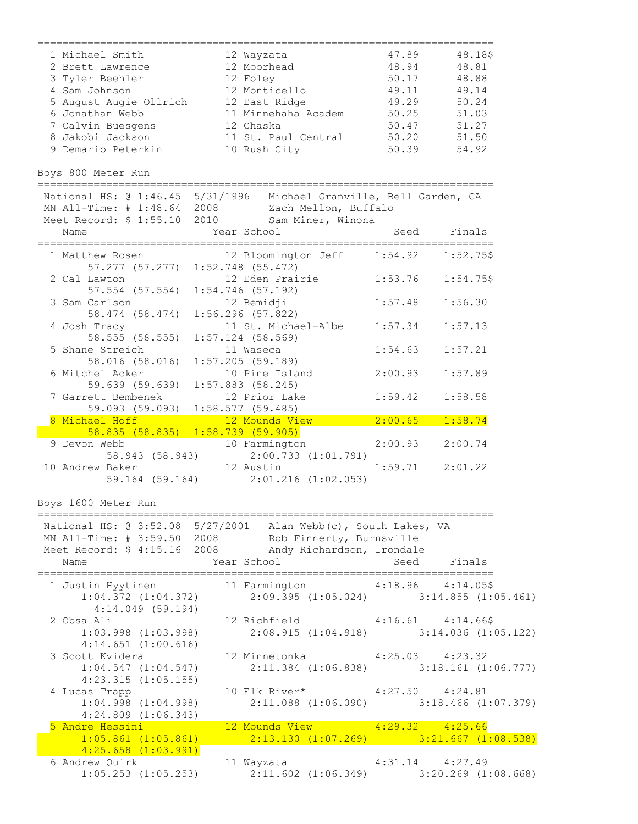| 1 Michael Smith                               | 12 Wayzata                                                                                                       |                                                                                                                                                                                                                                                                                                        | 47.89 48.18\$ |
|-----------------------------------------------|------------------------------------------------------------------------------------------------------------------|--------------------------------------------------------------------------------------------------------------------------------------------------------------------------------------------------------------------------------------------------------------------------------------------------------|---------------|
| 2 Brett Lawrence                              | 12 Moorhead                                                                                                      | 48.94 48.81                                                                                                                                                                                                                                                                                            |               |
| 3 Tyler Beehler                               | 12 Foley                                                                                                         | 50.17 48.88                                                                                                                                                                                                                                                                                            |               |
| 4 Sam Johnson                                 | 12 Monticello                                                                                                    | 49.11 49.14                                                                                                                                                                                                                                                                                            |               |
|                                               | 5 August Augie Ollrich 12 East Ridge                                                                             | 49.29 50.24                                                                                                                                                                                                                                                                                            |               |
| 6 Jonathan Webb                               | 11 Minnehaha Academ 50.25 51.03                                                                                  |                                                                                                                                                                                                                                                                                                        |               |
| 7 Calvin Buesgens                             | 12 Chaska                                                                                                        | 50.47 51.27                                                                                                                                                                                                                                                                                            |               |
|                                               | 8 Jakobi Jackson 11 St. Paul Central 50.20 51.50                                                                 |                                                                                                                                                                                                                                                                                                        |               |
| 9 Demario Peterkin                            | 10 Rush City                                                                                                     | 50.39                                                                                                                                                                                                                                                                                                  | 54.92         |
| Boys 800 Meter Run                            |                                                                                                                  |                                                                                                                                                                                                                                                                                                        |               |
|                                               | National HS: @ 1:46.45 5/31/1996 Michael Granville, Bell Garden, CA                                              |                                                                                                                                                                                                                                                                                                        |               |
|                                               | MN All-Time: # 1:48.64 2008 Zach Mellon, Buffalo                                                                 |                                                                                                                                                                                                                                                                                                        |               |
|                                               | Meet Record: \$ 1:55.10 2010 Sam Miner, Winona                                                                   |                                                                                                                                                                                                                                                                                                        |               |
| Name                                          | Year School                                                                                                      |                                                                                                                                                                                                                                                                                                        | Seed Finals   |
| 1 Matthew Rosen                               | 12 Bloomington Jeff 1:54.92 1:52.75\$<br>57.277 (57.277) 1:52.748 (55.472)                                       |                                                                                                                                                                                                                                                                                                        |               |
| 2 Cal Lawton<br>57.554 (57.554)               | 12 Eden Prairie<br>$1:54.746$ (57.192)                                                                           | $1:53.76$ $1:54.75$ \$                                                                                                                                                                                                                                                                                 |               |
| 3 Sam Carlson<br>58.474 (58.474)              | 12 Bemidji<br>$1:56.296$ (57.822)                                                                                | 1:57.48                                                                                                                                                                                                                                                                                                | 1:56.30       |
| 4 Josh Tracy<br>58.555 (58.555)               | 11 St. Michael-Albe<br>$1:57.124$ (58.569)                                                                       | 1:57.34                                                                                                                                                                                                                                                                                                | 1:57.13       |
| 5 Shane Streich<br>58.016 (58.016)            | 11 Waseca<br>$1:57.205$ (59.189)                                                                                 | 1:54.63                                                                                                                                                                                                                                                                                                | 1:57.21       |
| 6 Mitchel Acker<br>59.639 (59.639)            | 10 Pine Island<br>$1:57.883$ (58.245)                                                                            | 2:00.93                                                                                                                                                                                                                                                                                                | 1:57.89       |
| 7 Garrett Bembenek                            | 12 Prior Lake<br>59.093 (59.093) 1:58.577 (59.485)                                                               | 1:59.42                                                                                                                                                                                                                                                                                                | 1:58.58       |
| 8 Michael Hoff                                | 12 Mounds View<br>$58.835$ (58.835) 1:58.739 (59.905)                                                            | $\overline{2:00.65}$ and $\overline{2:00.65}$ and $\overline{2:00.65}$ and $\overline{2:00.65}$ and $\overline{2:00.65}$ and $\overline{2:00.65}$ and $\overline{2:00.65}$ and $\overline{2:00.65}$ and $\overline{2:00.65}$ and $\overline{2:00.65}$ and $\overline{2:00.65}$ and $\overline{2:00.65$ | 1:58.74       |
| 9 Devon Webb<br>58.943 (58.943)               | 10 Farmington<br>2:00.733(1:01.791)                                                                              | 2:00.93 2:00.74                                                                                                                                                                                                                                                                                        |               |
| 10 Andrew Baker<br>59.164 (59.164)            | 12 Austin<br>$2:01.216$ $(1:02.053)$                                                                             | $1:59.71$ $2:01.22$                                                                                                                                                                                                                                                                                    |               |
| Boys 1600 Meter Run                           |                                                                                                                  |                                                                                                                                                                                                                                                                                                        |               |
|                                               | National HS: @ 3:52.08 5/27/2001 Alan Webb(c), South Lakes, VA                                                   |                                                                                                                                                                                                                                                                                                        |               |
|                                               | MN All-Time: # 3:59.50 2008 Rob Finnerty, Burnsville                                                             |                                                                                                                                                                                                                                                                                                        |               |
|                                               | Meet Record: \$ 4:15.16 2008 Andy Richardson, Irondale                                                           |                                                                                                                                                                                                                                                                                                        |               |
| Name                                          | Year School                                                                                                      | Seed Finals                                                                                                                                                                                                                                                                                            |               |
| $4:14.049$ (59.194)                           | 1 Justin Hyytinen 11 Farmington 4:18.96 4:14.05\$<br>1:04.372 (1:04.372) 2:09.395 (1:05.024) 3:14.855 (1:05.461) |                                                                                                                                                                                                                                                                                                        |               |
| 2 Obsa Ali<br>$1:03.998$ $(1:03.998)$         | 12 Richfield 4:16.61 4:14.66\$<br>$2:08.915$ $(1:04.918)$ $3:14.036$ $(1:05.122)$                                |                                                                                                                                                                                                                                                                                                        |               |
| $4:14.651$ $(1:00.616)$                       | 3 Scott Kvidera (12 Minnetonka (25.03 4:23.32)                                                                   |                                                                                                                                                                                                                                                                                                        |               |
| 1:04.547(1:04.547)<br>$4:23.315$ $(1:05.155)$ | $2:11.384$ $(1:06.838)$ $3:18.161$ $(1:06.777)$                                                                  |                                                                                                                                                                                                                                                                                                        |               |
| 4 Lucas Trapp<br>$1:04.998$ $(1:04.998)$      | 10 Elk River* 4:27.50 4:24.81<br>2:11.088 (1:06.090) 3:18.466 (1:07.379)                                         |                                                                                                                                                                                                                                                                                                        |               |
| $4:24.809$ $(1:06.343)$                       |                                                                                                                  |                                                                                                                                                                                                                                                                                                        |               |
| 5 Andre Hessini and a state of the            | 12 Mounds View 4:29.32 4:25.66                                                                                   |                                                                                                                                                                                                                                                                                                        |               |
| $1:05.861$ $(1:05.861)$                       | 2:13.130 $(1:07.269)$ 3:21.667 $(1:08.538)$                                                                      |                                                                                                                                                                                                                                                                                                        |               |
| $4:25.658$ $(1:03.991)$                       |                                                                                                                  |                                                                                                                                                                                                                                                                                                        |               |
| 6 Andrew Quirk                                | 11 Wayzata 4:31.14 4:27.49                                                                                       |                                                                                                                                                                                                                                                                                                        |               |
| $1:05.253$ $(1:05.253)$                       | $2:11.602$ (1:06.349) $3:20.269$ (1:08.668)                                                                      |                                                                                                                                                                                                                                                                                                        |               |
|                                               |                                                                                                                  |                                                                                                                                                                                                                                                                                                        |               |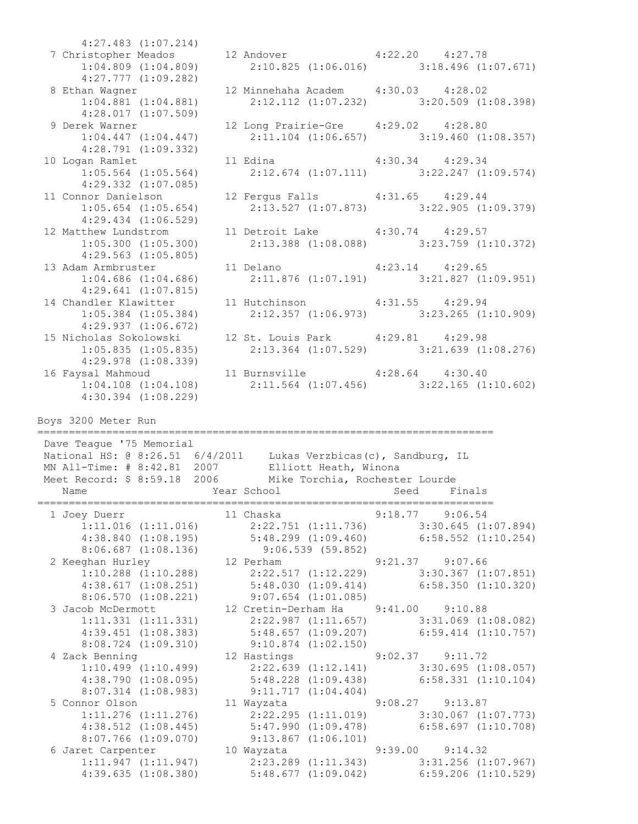4:27.483 (1:07.214) 7 Christopher Meados 12 Andover 4:22.20 4:27.78 1:04.809 (1:04.809) 2:10.825 (1:06.016) 3:18.496 (1:07.671) 4:27.777 (1:09.282) 8 Ethan Wagner 12 Minnehaha Academ 4:30.03 4:28.02 1:04.881 (1:04.881) 2:12.112 (1:07.232) 3:20.509 (1:08.398) 4:28.017 (1:07.509) 9 Derek Warner 12 Long Prairie-Gre 4:29.02 4:28.80 1:04.447 (1:04.447) 2:11.104 (1:06.657) 3:19.460 (1:08.357) 4:28.791 (1:09.332) 10 Logan Ramlet 11 Edina 4:30.34 4:29.34 1:05.564 (1:05.564) 2:12.674 (1:07.111) 3:22.247 (1:09.574) 4:29.332 (1:07.085) 11 Connor Danielson 12 Fergus Falls 4:31.65 4:29.44 1:05.654 (1:05.654) 2:13.527 (1:07.873) 3:22.905 (1:09.379) 4:29.434 (1:06.529) 12 Matthew Lundstrom 11 Detroit Lake 4:30.74 4:29.57 1:05.300 (1:05.300) 2:13.388 (1:08.088) 3:23.759 (1:10.372) 4:29.563 (1:05.805) 13 Adam Armbruster 11 Delano 4:23.14 4:29.65 1:04.686 (1:04.686) 2:11.876 (1:07.191) 3:21.827 (1:09.951) 4:29.641 (1:07.815) 14 Chandler Klawitter 11 Hutchinson 4:31.55 4:29.94 1:05.384 (1:05.384) 2:12.357 (1:06.973) 3:23.265 (1:10.909) 4:29.937 (1:06.672) 4:29.937 (1:06.672)<br>15 Nicholas Sokolowski 12 St. Louis Park 4:29.81 4:29.98<br>1:05.835 (1:05.835) 2:13.364 (1:07.529) 3:21.639 (1:08.276) 1:05.835 (1:05.835) 2:13.364 (1:07.529) 3:21.639 (1:08.276) 4:29.978 (1:08.339) 16 Faysal Mahmoud 11 Burnsville 4:28.64 4:30.40 1:04.108 (1:04.108) 2:11.564 (1:07.456) 3:22.165 (1:10.602) 4:30.394 (1:08.229) Boys 3200 Meter Run ========================================================================= Dave Teague '75 Memorial National HS: @ 8:26.51 6/4/2011 Lukas Verzbicas(c), Sandburg, IL MN All-Time: # 8:42.81 2007 Elliott Heath, Winona Meet Record: \$ 8:59.18 2006 Mike Torchia, Rochester Lourde Name Seed Finals (Near School Seed Finals ========================================================================= 1 Joey Duerr 11 Chaska 9:18.77 9:06.54 1:11.016 (1:11.016) 2:22.751 (1:11.736) 3:30.645 (1:07.894) 4:38.840 (1:08.195) 5:48.299 (1:09.460) 6:58.552 (1:10.254) 8:06.687 (1:08.136) 9:06.539 (59.852) 2 Keeghan Hurley 12 Perham 9:21.37 9:07.66 1:10.288 (1:10.288) 2:22.517 (1:12.229) 3:30.367 (1:07.851) 4:38.617 (1:08.251) 5:48.030 (1:09.414) 6:58.350 (1:10.320) 8:06.570 (1:08.221) 9:07.654 (1:01.085) 3 Jacob McDermott 12 Cretin-Derham Ha 9:41.00 9:10.88 1:11.331 (1:11.331) 2:22.987 (1:11.657) 3:31.069 (1:08.082) 4:39.451 (1:08.383) 5:48.657 (1:09.207) 6:59.414 (1:10.757) 8:08.724 (1:09.310) 9:10.874 (1:02.150) 4 Zack Benning 12 Hastings 9:02.37 9:11.72 1:10.499 (1:10.499) 2:22.639 (1:12.141) 3:30.695 (1:08.057) 4:38.790 (1:08.095) 5:48.228 (1:09.438) 6:58.331 (1:10.104) 8:07.314 (1:08.983) 9:11.717 (1:04.404) 5 Connor Olson 11 Wayzata 9:08.27 9:13.87 1:11.276 (1:11.276) 2:22.295 (1:11.019) 3:30.067 (1:07.773) 4:38.512 (1:08.445) 5:47.990 (1:09.478) 6:58.697 (1:10.708) 8:07.766 (1:09.070) 9:13.867 (1:06.101) 6 Jaret Carpenter 10 Wayzata 9:39.00 9:14.32 1:11.947 (1:11.947) 2:23.289 (1:11.343) 3:31.256 (1:07.967) 4:39.635 (1:08.380) 5:48.677 (1:09.042) 6:59.206 (1:10.529)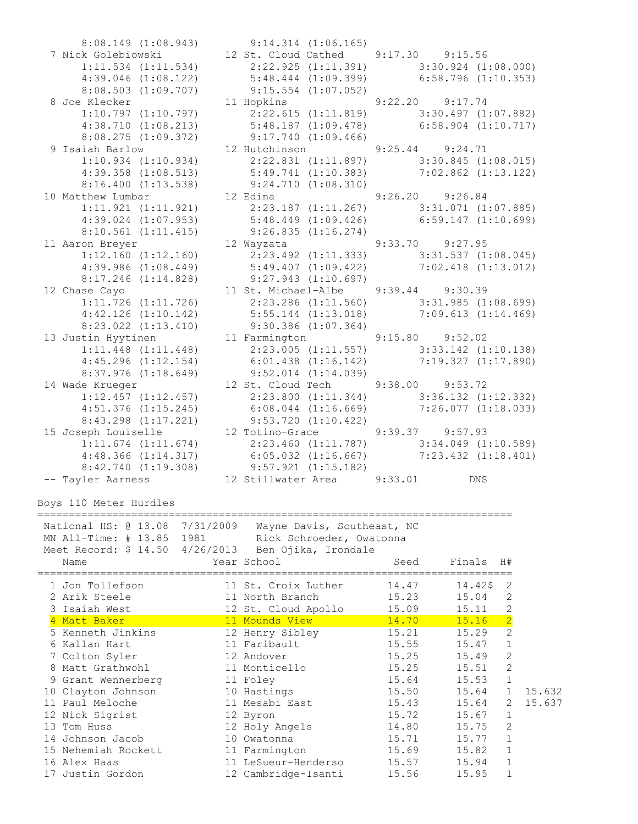8:08.503 (1:09.707) 9:15.554 (1:07.052) 8:08.275 (1:09.372) 9:17.740 (1:09.466) 8:16.400 (1:13.538) 9:24.710 (1:08.310) 8:10.561 (1:11.415) 9:26.835 (1:16.274) 8:17.246 (1:14.828) 9:27.943 (1:10.697) 8:23.022 (1:13.410) 9:30.386 (1:07.364) 8:37.976 (1:18.649) 9:52.014 (1:14.039) 8:43.298 (1:17.221) 9:53.720 (1:10.422)

 8:08.149 (1:08.943) 9:14.314 (1:06.165) 7 Nick Golebiowski 12 St. Cloud Cathed 9:17.30 9:15.56 1:11.534 (1:11.534) 2:22.925 (1:11.391) 3:30.924 (1:08.000) 4:39.046 (1:08.122) 5:48.444 (1:09.399) 6:58.796 (1:10.353) 8 Joe Klecker 11 Hopkins 9:22.20 9:17.74 1:10.797 (1:10.797) 2:22.615 (1:11.819) 3:30.497 (1:07.882) 4:38.710 (1:08.213) 5:48.187 (1:09.478) 6:58.904 (1:10.717) 9 Isaiah Barlow 12 Hutchinson 9:25.44 9:24.71 1:10.934 (1:10.934) 2:22.831 (1:11.897) 3:30.845 (1:08.015) 4:39.358 (1:08.513) 5:49.741 (1:10.383) 7:02.862 (1:13.122) 10 Matthew Lumbar 12 Edina 9:26.20 9:26.84 1:11.921 (1:11.921) 2:23.187 (1:11.267) 3:31.071 (1:07.885) 4:39.024 (1:07.953) 5:48.449 (1:09.426) 6:59.147 (1:10.699) 11 Aaron Breyer 12 Wayzata 9:33.70 9:27.95 1:12.160 (1:12.160) 2:23.492 (1:11.333) 3:31.537 (1:08.045) 4:39.986 (1:08.449) 5:49.407 (1:09.422) 7:02.418 (1:13.012) 12 Chase Cayo 11 St. Michael-Albe 9:39.44 9:30.39 1:11.726 (1:11.726) 2:23.286 (1:11.560) 3:31.985 (1:08.699) 4:42.126 (1:10.142) 5:55.144 (1:13.018) 7:09.613 (1:14.469) 13 Justin Hyytinen 11 Farmington 9:15.80 9:52.02 1:11.448 (1:11.448) 2:23.005 (1:11.557) 3:33.142 (1:10.138) 4:45.296 (1:12.154) 6:01.438 (1:16.142) 7:19.327 (1:17.890) 14 Wade Krueger 12 St. Cloud Tech 9:38.00 9:53.72 1:12.457 (1:12.457) 2:23.800 (1:11.344) 3:36.132 (1:12.332) 4:51.376 (1:15.245) 6:08.044 (1:16.669) 7:26.077 (1:18.033) 15 Joseph Louiselle 12 Totino-Grace 9:39.37 9:57.93 1:11.674 (1:11.674) 2:23.460 (1:11.787) 3:34.049 (1:10.589) 4:48.366 (1:14.317) 6:05.032 (1:16.667) 7:23.432 (1:18.401) 8:42.740 (1:19.308) 9:57.921 (1:15.182) -- Tayler Aarness 12 Stillwater Area 9:33.01 DNS

Boys 110 Meter Hurdles

============================================================================ National HS: @ 13.08 7/31/2009 Wayne Davis, Southeast, NC MN All-Time: # 13.85 1981 Rick Schroeder, Owatonna Meet Record: \$ 14.50 4/26/2013 Ben Ojika, Irondale Name Tear School Seed Finals H# ============================================================================ 1 Jon Tollefson 11 St. Croix Luther 14.47 14.42\$ 2 2 Arik Steele 11 North Branch 15.23 15.04 2 3 Isaiah West 12 St. Cloud Apollo 15.09 15.11 2 4 Matt Baker 11 Mounds View 14.70 15.16 2 5 Kenneth Jinkins 12 Henry Sibley 15.21 15.29 2 6 Kallan Hart 11 Faribault 15.55 15.47 1 7 Colton Syler 12 Andover 15.25 15.49 2 8 Matt Grathwohl 11 Monticello 15.25 15.51 2 9 Grant Wennerberg 11 Foley 15.64 15.53 1 10 Clayton Johnson 10 Hastings 15.50 15.64 1 15.632 11 Paul Meloche 11 Mesabi East 15.43 15.64 2 15.637 12 Nick Sigrist 12 Byron 15.72 15.67 1 13 Tom Huss 12 Holy Angels 14.80 15.75 2 14 Johnson Jacob 10 Owatonna 15.71 15.77 1 15 Nehemiah Rockett 11 Farmington 15.69 15.82 1 16 Alex Haas 11 LeSueur-Henderso 15.57 15.94 1 17 Justin Gordon 12 Cambridge-Isanti 15.56 15.95 1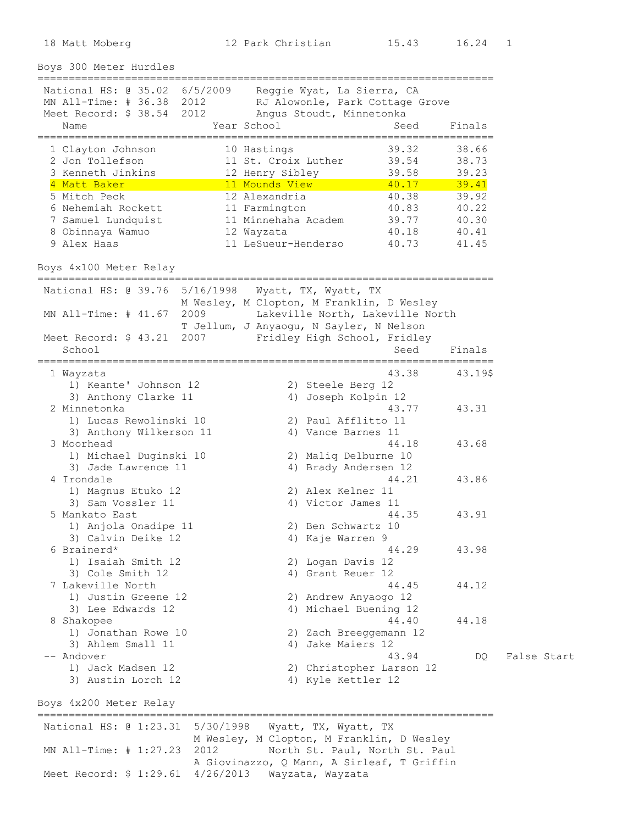18 Matt Moberg 12 Park Christian 15.43 16.24 1

Boys 300 Meter Hurdles ========================================================================= National HS: @ 35.02 6/5/2009 Reggie Wyat, La Sierra, CA MN All-Time: # 36.38 2012 RJ Alowonle, Park Cottage Grove Meet Record: \$ 38.54 2012 Angus Stoudt, Minnetonka Name Year School Seed Finals ========================================================================= 1 Clayton Johnson 10 Hastings 39.32 38.66 2 Jon Tollefson 11 St. Croix Luther 39.54 38.73 3 Kenneth Jinkins 12 Henry Sibley 39.58 39.23 4 Matt Baker 11 Mounds View 40.17 39.41 5 Mitch Peck 12 Alexandria 40.38 39.92 6 Nehemiah Rockett 11 Farmington 40.83 40.22 7 Samuel Lundquist 11 Minnehaha Academ 39.77 40.30 8 Obinnaya Wamuo 12 Wayzata 40.18 40.41 9 Alex Haas 11 LeSueur-Henderso 40.73 41.45 Boys 4x100 Meter Relay ========================================================================= National HS: @ 39.76 5/16/1998 Wyatt, TX, Wyatt, TX M Wesley, M Clopton, M Franklin, D Wesley MN All-Time: # 41.67 2009 Lakeville North, Lakeville North T Jellum, J Anyaogu, N Sayler, N Nelson Meet Record: \$ 43.21 2007 Fridley High School, Fridley School School Seed Finals ========================================================================= 1 Wayzata 43.38 43.19\$ 1) Keante' Johnson 12 2) Steele Berg 12 3) Anthony Clarke 11 4) Joseph Kolpin 12 2 Minnetonka 43.77 43.31 1) Lucas Rewolinski 10 2) Paul Afflitto 11 3) Anthony Wilkerson 11 4) Vance Barnes 11 3 Moorhead 44.18 43.68 1) Michael Duginski 10 2) Maliq Delburne 10 3) Jade Lawrence 11 4) Brady Andersen 12 4 Irondale 44.21 43.86 1) Magnus Etuko 12 2) Alex Kelner 11 3) Sam Vossler 11 4) Victor James 11 5 Mankato East 44.35 43.91 1) Anjola Onadipe 11 2) Ben Schwartz 10 3) Calvin Deike 12 4) Kaje Warren 9 6 Brainerd\* 44.29 43.98 1) Isaiah Smith 12 2) Logan Davis 12 3) Cole Smith 12 4) Grant Reuer 12 7 Lakeville North 44.45 44.12 1) Justin Greene 12 2) Andrew Anyaogo 12 3) Lee Edwards 12 4) Michael Buening 12 8 Shakopee 44.18 1) Jonathan Rowe 10 2) Zach Breeggemann 12 3) Ahlem Small 11 4) Jake Maiers 12 -- Andover Changes Sensitive Start Changes Changes Andrew Management Assembly Changes Andrew Management Assembly 1) Jack Madsen 12 2) Christopher Larson 12 3) Austin Lorch 12 4) Kyle Kettler 12 Boys 4x200 Meter Relay ========================================================================= National HS: @ 1:23.31 5/30/1998 Wyatt, TX, Wyatt, TX M Wesley, M Clopton, M Franklin, D Wesley

MN All-Time: # 1:27.23 2012 North St. Paul, North St. Paul A Giovinazzo, Q Mann, A Sirleaf, T Griffin Meet Record: \$ 1:29.61 4/26/2013 Wayzata, Wayzata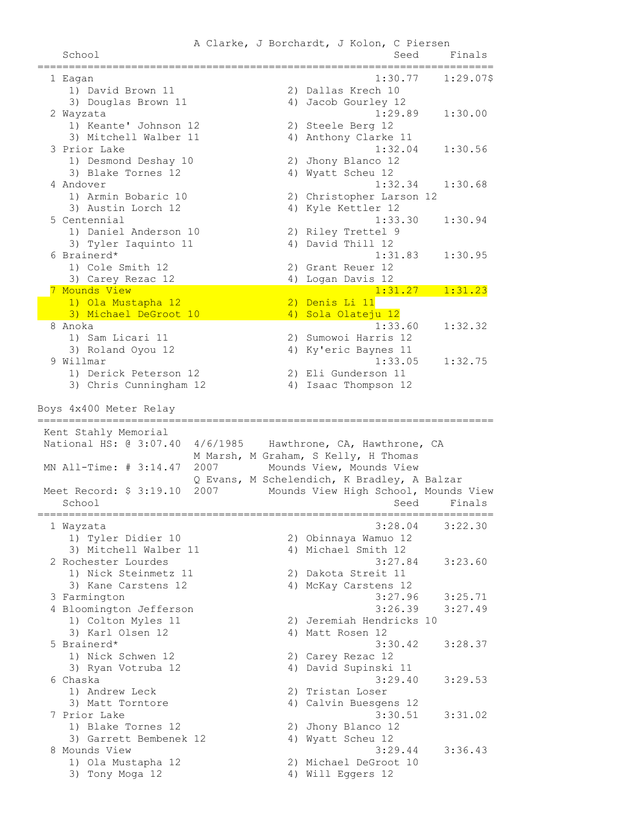A Clarke, J Borchardt, J Kolon, C Piersen School School Seed Finals ========================================================================= 1 Eagan 1:30.77 1:29.07\$ 1) David Brown 11 2) Dallas Krech 10 3) Douglas Brown 11 4) Jacob Gourley 12 2 Wayzata 1:29.89 1:30.00 1) Keante' Johnson 12 2) Steele Berg 12 3) Mitchell Walber 11 4) Anthony Clarke 11 3 Prior Lake 1:32.04 1:30.56 1) Desmond Deshay 10 2) Jhony Blanco 12 3) Blake Tornes 12 4) Wyatt Scheu 12 4 Andover 1:32.34 1:30.68 2) Christopher Larson 12<br>4) Kvle Kettler 12 1) Armin Bobaric 10 (2) Christopher Lars<br>3) Austin Lorch 12 (4) Kyle Kettler 12 5 Centennial 1:33.30 1:30.94 1) Daniel Anderson 10 2) Riley Trettel 9 3) Tyler Iaquinto 11 4) David Thill 12 6 Brainerd\* 1:31.83 1:30.95 1) Cole Smith 12 2) Grant Reuer 12 3) Carey Rezac 12 4) Logan Davis 12 7 Mounds View 1:31.27 1:31.23 1) Ola Mustapha 12 2) Denis Li 11 3) Michael DeGroot 10 4) Sola Olateju 12 8 Anoka 1:33.60 1:32.32 1) Sam Licari 11 2) Sumowoi Harris 12 3) Roland Oyou 12 4) Ky'eric Baynes 11 9 Willmar 1:33.05 1:32.75 1) Derick Peterson 12 2) Eli Gunderson 11 3) Chris Cunningham 12 4) Isaac Thompson 12 Boys 4x400 Meter Relay ========================================================================= Kent Stahly Memorial National HS: @ 3:07.40 4/6/1985 Hawthrone, CA, Hawthrone, CA M Marsh, M Graham, S Kelly, H Thomas MN All-Time: # 3:14.47 2007 Mounds View, Mounds View Q Evans, M Schelendich, K Bradley, A Balzar Meet Record: \$ 3:19.10 2007 Mounds View High School, Mounds View School Seed Finals ========================================================================= 1 Wayzata 3:28.04 3:22.30 1) Tyler Didier 10 2) Obinnaya Wamuo 12 3) Mitchell Walber 11 4) Michael Smith 12 2 Rochester Lourdes 3:27.84 3:23.60 1) Nick Steinmetz 11 2) Dakota Streit 11 3) Kane Carstens 12 4) McKay Carstens 12 3 Farmington 3:27.96 3:25.71<br>
4 Bloomington Jefferson 3:28.39 3:27.49 4 Bloomington Jefferson<br>1) Colton Myles 11<br>3) Xierl Olean 12 1) Colton Myles 11 2) Jeremiah Hendricks 10 3) Karl Olsen 12 4) Matt Rosen 12 5 Brainerd\* 3:30.42 3:28.37 1) Nick Schwen 12 2) Carey Rezac 12 3) Ryan Votruba 12 4) David Supinski 11 6 Chaska 3:29.40 3:29.53 3:29<br>1) Andrew Leck 2) Tristan Loser<br>2) Matt Mayrie 3) Matt Torntore (4) Calvin Buesgens 12 7 Prior Lake 3:30.51 3:31.02 1) Blake Tornes 12 2) Jhony Blanco 12 3) Garrett Bembenek 12 <a>> 4) Wyatt Scheu 12 8 Mounds View 3:29.44 3:36.43 1) Ola Mustapha 12 2) Michael DeGroot 10 3) Tony Moga 12 4) Will Eggers 12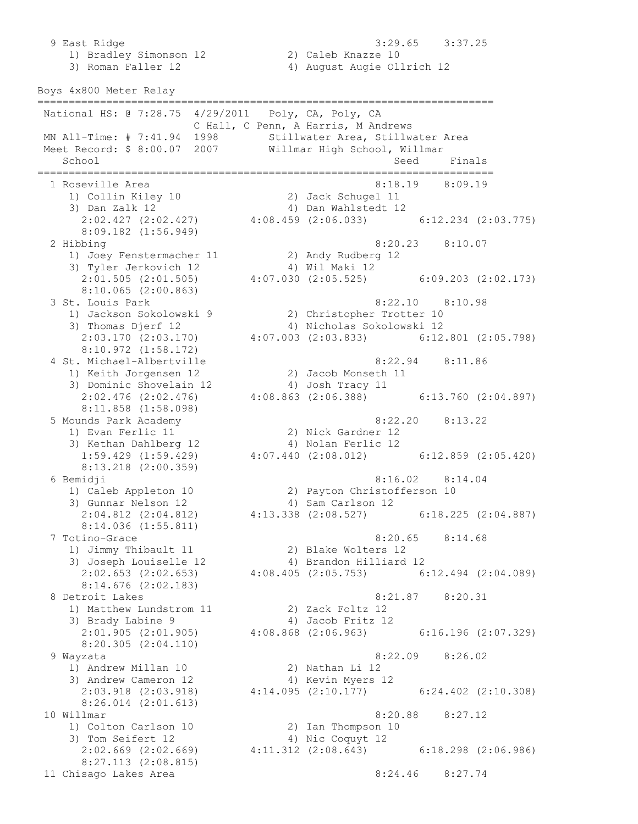9 East Ridge 3:29.65 3:37.25 1) Bradley Simonson 12 2) Caleb Knazze 10 3) Roman Faller 12 4) August Augie Ollrich 12 Boys 4x800 Meter Relay ========================================================================= National HS: @ 7:28.75 4/29/2011 Poly, CA, Poly, CA C Hall, C Penn, A Harris, M Andrews MN All-Time: # 7:41.94 1998 Stillwater Area, Stillwater Area Meet Record: \$ 8:00.07 2007 Willmar High School, Willmar School Seed Finals ========================================================================= 1 Roseville Area 8:18.19 8:09.19 1) Collin Kiley 10 2) Jack Schugel 11 3) Dan Zalk 12 4) Dan Wahlstedt 12 2:02.427 (2:02.427) 4:08.459 (2:06.033) 6:12.234 (2:03.775) 8:09.182 (1:56.949) 2 Hibbing 8:20.23 8:10.07 1) Joey Fenstermacher 11 2) Andy Rudberg 12 3) Tyler Jerkovich 12 (4) Wil Maki 12 2:01.505 (2:01.505) 4:07.030 (2:05.525) 6:09.203 (2:02.173) 8:10.065 (2:00.863) 3 St. Louis Park 8:22.10 8:10.98 1) Jackson Sokolowski 9 2) Christopher Trotter 10 3) Thomas Djerf 12 4) Nicholas Sokolowski 12 2:03.170 (2:03.170) 4:07.003 (2:03.833) 6:12.801 (2:05.798) 8:10.972 (1:58.172) 4 St. Michael-Albertville 8:22.94 8:11.86 1) Keith Jorgensen 12 2) Jacob Monseth 11 3) Dominic Shovelain 12 4) Josh Tracy 11 2:02.476 (2:02.476) 4:08.863 (2:06.388) 6:13.760 (2:04.897) 8:11.858 (1:58.098) 5 Mounds Park Academy 8:22.20 8:13.22 1) Evan Ferlic 11 2) Nick Gardner 12 3) Kethan Dahlberg 12 4) Nolan Ferlic 12 1:59.429 (1:59.429) 4:07.440 (2:08.012) 6:12.859 (2:05.420) 8:13.218 (2:00.359) 6 Bemidji 8:16.02 8:14.04 1) Caleb Appleton 10 2) Payton Christofferson 10 3) Gunnar Nelson 12 (4) Sam Carlson 12 2:04.812 (2:04.812) 4:13.338 (2:08.527) 6:18.225 (2:04.887) 8:14.036 (1:55.811) 7 Totino-Grace 8:20.65 8:14.68 1) Jimmy Thibault 11 2) Blake Wolters 12 3) Joseph Louiselle 12 4) Brandon Hilliard 12 2:02.653 (2:02.653) 4:08.405 (2:05.753) 6:12.494 (2:04.089) 8:14.676 (2:02.183) 8 Detroit Lakes 8:21.87 8:20.31 1) Matthew Lundstrom 11 2) Zack Foltz 12 3) Brady Labine 9 4) Jacob Fritz 12 2:01.905 (2:01.905) 4:08.868 (2:06.963) 6:16.196 (2:07.329) 8:20.305 (2:04.110) 9 Wayzata 8:22.09 8:26.02 1) Andrew Millan 10 2) Nathan Li 12 3) Andrew Cameron 12 4) Kevin Myers 12 2:03.918 (2:03.918) 4:14.095 (2:10.177) 6:24.402 (2:10.308) 8:26.014 (2:01.613) 10 Willmar 8:20.88 8:27.12 1) Colton Carlson 10 2) Ian Thompson 10 3) Tom Seifert 12 4) Nic Coquyt 12 2:02.669 (2:02.669) 4:11.312 (2:08.643) 6:18.298 (2:06.986) 8:27.113 (2:08.815) 11 Chisago Lakes Area 6:24.46 8:27.74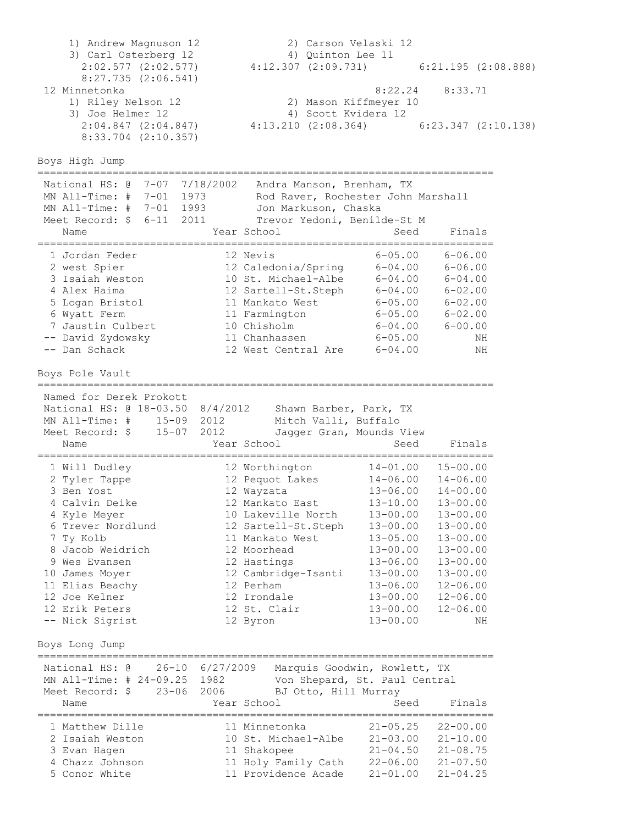1) Andrew Magnuson 12 2) Carson Velaski 12 3) Carl Osterberg 12 4) Quinton Lee 11 2:02.577 (2:02.577) 4:12.307 (2:09.731) 6:21.195 (2:08.888) 8:27.735 (2:06.541) 12 Minnetonka 8:22.24 8:33.71 1) Riley Nelson 12 2) Mason Kiffmeyer 10 3) Joe Helmer 12 4) Scott Kvidera 12 2:04.847 (2:04.847) 4:13.210 (2:08.364) 6:23.347 (2:10.138) 8:33.704 (2:10.357) Boys High Jump ========================================================================= National HS: @ 7-07 7/18/2002 Andra Manson, Brenham, TX MN All-Time: # 7-01 1973 Rod Raver, Rochester John Marshall MN All-Time: # 7-01 1993 Jon Markuson, Chaska Meet Record: \$ 6-11 2011 Trevor Yedoni, Benilde-St M Name **Year School** Seed Finals ========================================================================= 1 Jordan Feder 12 Nevis 6-05.00 6-06.00 2 west Spier 12 Caledonia/Spring 6-04.00 6-06.00 3 Isaiah Weston 10 St. Michael-Albe 6-04.00 6-04.00 4 Alex Haima 12 Sartell-St.Steph 6-04.00 6-02.00 5 Logan Bristol 11 Mankato West 6-05.00 6-02.00 6 Wyatt Ferm 11 Farmington 6-05.00 6-02.00 7 Jaustin Culbert 10 Chisholm 6-04.00 6-00.00 -- David Zydowsky 11 Chanhassen 6-05.00 NH -- Dan Schack 12 West Central Are 6-04.00 NH Boys Pole Vault ========================================================================= Named for Derek Prokott National HS: @ 18-03.50 8/4/2012 Shawn Barber, Park, TX MN All-Time: # 15-09 2012 Mitch Valli, Buffalo Meet Record: \$ 15-07 2012 Jagger Gran, Mounds View Name **Year School** Seed Finals ========================================================================= 1 Will Dudley 12 Worthington 14-01.00 15-00.00 2 Tyler Tappe 12 Pequot Lakes 14-06.00 14-06.00 3 Ben Yost 12 Wayzata 13-06.00 14-00.00 4 Calvin Deike 12 Mankato East 13-10.00 13-00.00 4 Kyle Meyer 10 Lakeville North 13-00.00 13-00.00 6 Trever Nordlund 12 Sartell-St.Steph 13-00.00 13-00.00 7 Ty Kolb 11 Mankato West 13-05.00 13-00.00 8 Jacob Weidrich 12 Moorhead 13-00.00 13-00.00 9 Wes Evansen 12 Hastings 13-06.00 13-00.00 10 James Moyer 12 Cambridge-Isanti 13-00.00 13-00.00 11 Elias Beachy 12 Perham 13-06.00 12-06.00 12 Joe Kelner 12 Irondale 13-00.00 12-06.00 12 Erik Peters 12 St. Clair 13-00.00 12-06.00 -- Nick Sigrist 12 Byron 13-00.00 NH Boys Long Jump ========================================================================= National HS: @ 26-10 6/27/2009 Marquis Goodwin, Rowlett, TX MN All-Time: # 24-09.25 1982 Von Shepard, St. Paul Central Meet Record: \$ 23-06 2006 BJ Otto, Hill Murray Name Year School Seed Finals ========================================================================= 1 Matthew Dille 11 Minnetonka 21-05.25 22-00.00 2 Isaiah Weston 10 St. Michael-Albe 21-03.00 21-10.00 3 Evan Hagen 11 Shakopee 21-04.50 21-08.75 4 Chazz Johnson 11 Holy Family Cath 22-06.00 21-07.50 5 Conor White 11 Providence Acade 21-01.00 21-04.25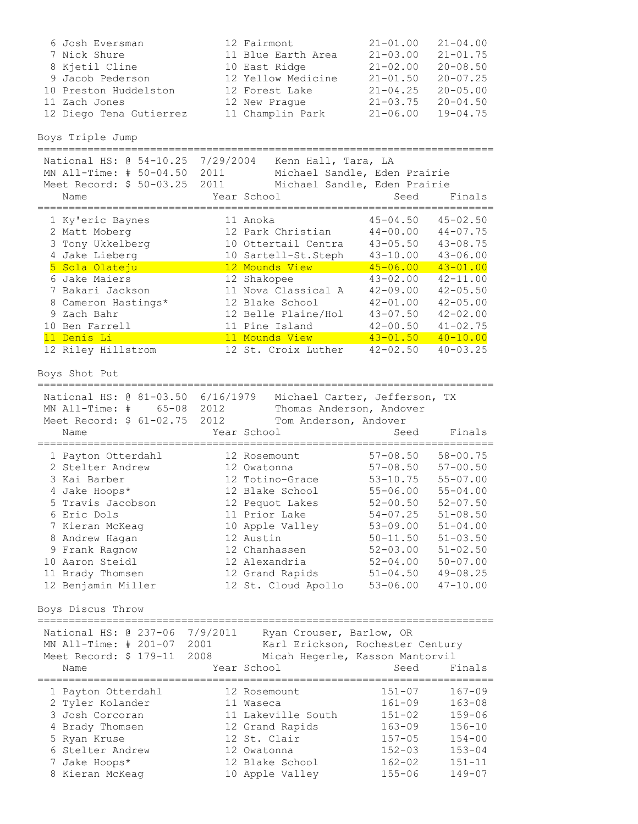| 6 Josh Eversman         | 12 Fairmont        | $21 - 01.00$ | $21 - 04.00$ |
|-------------------------|--------------------|--------------|--------------|
| 7 Nick Shure            | 11 Blue Earth Area | $21 - 03.00$ | $21 - 01.75$ |
| 8 Kjetil Cline          | 10 East Ridge      | $21 - 02.00$ | $20 - 08.50$ |
| 9 Jacob Pederson        | 12 Yellow Medicine | $21 - 01.50$ | $20 - 07.25$ |
| 10 Preston Huddelston   | 12 Forest Lake     | $21 - 04.25$ | $20 - 05.00$ |
| 11 Zach Jones           | 12 New Praque      | $21 - 03.75$ | $20 - 04.50$ |
| 12 Diego Tena Gutierrez | 11 Champlin Park   | $21 - 06.00$ | $19 - 04.75$ |

Boys Triple Jump

| National HS: 0 54-10.25<br>MN All-Time: # 50-04.50<br>Meet Record: \$ 50-03.25 | 7/29/2004<br>Kenn Hall, Tara, LA<br>2011<br>Michael Sandle, Eden Prairie<br>2011<br>Michael Sandle, Eden Prairie |                                                              |                                                              |
|--------------------------------------------------------------------------------|------------------------------------------------------------------------------------------------------------------|--------------------------------------------------------------|--------------------------------------------------------------|
| Name                                                                           | Year School                                                                                                      | Seed                                                         | Finals                                                       |
| 1 Ky'eric Baynes<br>2 Matt Moberg<br>3 Tony Ukkelberg<br>4 Jake Lieberg        | 11 Anoka<br>12 Park Christian<br>10 Ottertail Centra<br>10 Sartell-St.Steph                                      | $45 - 04.50$<br>$44 - 00.00$<br>$43 - 05.50$<br>$43 - 10.00$ | $45 - 02.50$<br>$44 - 07.75$<br>$43 - 08.75$<br>$43 - 06.00$ |
| 5 Sola Olateju                                                                 | 12 Mounds View                                                                                                   | $45 - 06.00$                                                 | $43 - 01.00$                                                 |
| 6 Jake Maiers<br>7 Bakari Jackson                                              | 12 Shakopee<br>11 Nova Classical A                                                                               | $43 - 02.00$<br>$42 - 09.00$                                 | $42 - 11.00$<br>$42 - 05.50$                                 |
| 8 Cameron Hastings*                                                            | 12 Blake School                                                                                                  | $42 - 01.00$                                                 | $42 - 05.00$                                                 |
| 9 Zach Bahr                                                                    | 12 Belle Plaine/Hol                                                                                              | $43 - 07.50$                                                 | $42 - 02.00$                                                 |
| 10 Ben Farrell                                                                 | 11 Pine Island                                                                                                   | $42 - 00.50$                                                 | $41 - 02.75$                                                 |
| 11 Denis Li                                                                    | 11 Mounds View                                                                                                   | $43 - 01.50$                                                 | $40 - 10.00$                                                 |
| 12 Riley Hillstrom                                                             | 12 St. Croix Luther                                                                                              | $42 - 02.50$                                                 | $40 - 03.25$                                                 |

Boys Shot Put

| National HS: @ 81-03.50<br>$65 - 08$<br>$MN$ All-Time: # | 6/16/1979<br>2012             | Michael Carter, Jefferson, TX<br>Thomas Anderson, Andover |
|----------------------------------------------------------|-------------------------------|-----------------------------------------------------------|
| Meet Record: \$ 61-02.75                                 | 2012<br>Tom Anderson, Andover |                                                           |
| Name                                                     | Year School                   | Seed<br>Finals                                            |
| 1 Payton Otterdahl                                       | 12 Rosemount                  | $58 - 00.75$<br>$57 - 08.50$                              |
| 2 Stelter Andrew                                         | 12 Owatonna                   | $57 - 08.50$<br>$57 - 00.50$                              |
| 3 Kai Barber                                             | 12 Totino-Grace               | $53 - 10.75$<br>$55 - 07.00$                              |
| 4 Jake Hoops*                                            | 12 Blake School               | $55 - 06.00$<br>$55 - 04.00$                              |
| 5 Travis Jacobson                                        | 12 Pequot Lakes               | $52 - 00.50$<br>$52 - 07.50$                              |
| 6 Eric Dols                                              | 11 Prior Lake                 | $54 - 07.25$<br>$51 - 08.50$                              |
| 7 Kieran McKeag                                          | 10 Apple Valley               | $53 - 09.00$<br>$51 - 04.00$                              |
| 8 Andrew Hagan                                           | 12 Austin                     | $51 - 03.50$<br>$50 - 11.50$                              |
| 9 Frank Ragnow                                           | 12 Chanhassen                 | $52 - 03.00$<br>$51 - 02.50$                              |
| Aaron Steidl<br>10                                       | 12 Alexandria                 | $50 - 07.00$<br>$52 - 04.00$                              |
| 11 Brady Thomsen                                         | 12 Grand Rapids               | $49 - 08.25$<br>$51 - 04.50$                              |
| 12 Benjamin Miller                                       | 12 St. Cloud Apollo           | $47 - 10.00$<br>$53 - 06.00$                              |

Boys Discus Throw

| National HS: @ 237-06<br>MN All-Time: # 201-07<br>Meet Record: \$ 179-11                                                                             | 7/9/2011<br>2001<br>2008 | Ryan Crouser, Barlow, OR<br>Karl Erickson, Rochester Century<br>Micah Hegerle, Kasson Mantorvil                                         |                                                                                                              |                                                                                                              |
|------------------------------------------------------------------------------------------------------------------------------------------------------|--------------------------|-----------------------------------------------------------------------------------------------------------------------------------------|--------------------------------------------------------------------------------------------------------------|--------------------------------------------------------------------------------------------------------------|
| Name                                                                                                                                                 |                          | Year School                                                                                                                             | Seed                                                                                                         | Finals                                                                                                       |
| 1 Payton Otterdahl<br>2 Tyler Kolander<br>3 Josh Corcoran<br>4 Brady Thomsen<br>5 Ryan Kruse<br>6 Stelter Andrew<br>7 Jake Hoops*<br>8 Kieran McKeag |                          | 12 Rosemount<br>11 Waseca<br>11 Lakeville South<br>12 Grand Rapids<br>12 St. Clair<br>12 Owatonna<br>12 Blake School<br>10 Apple Valley | $151 - 07$<br>$161 - 09$<br>$151 - 02$<br>$163 - 09$<br>$157 - 05$<br>$152 - 03$<br>$162 - 02$<br>$155 - 06$ | $167 - 09$<br>$163 - 08$<br>$159 - 06$<br>$156 - 10$<br>$154 - 00$<br>$153 - 04$<br>$151 - 11$<br>$149 - 07$ |